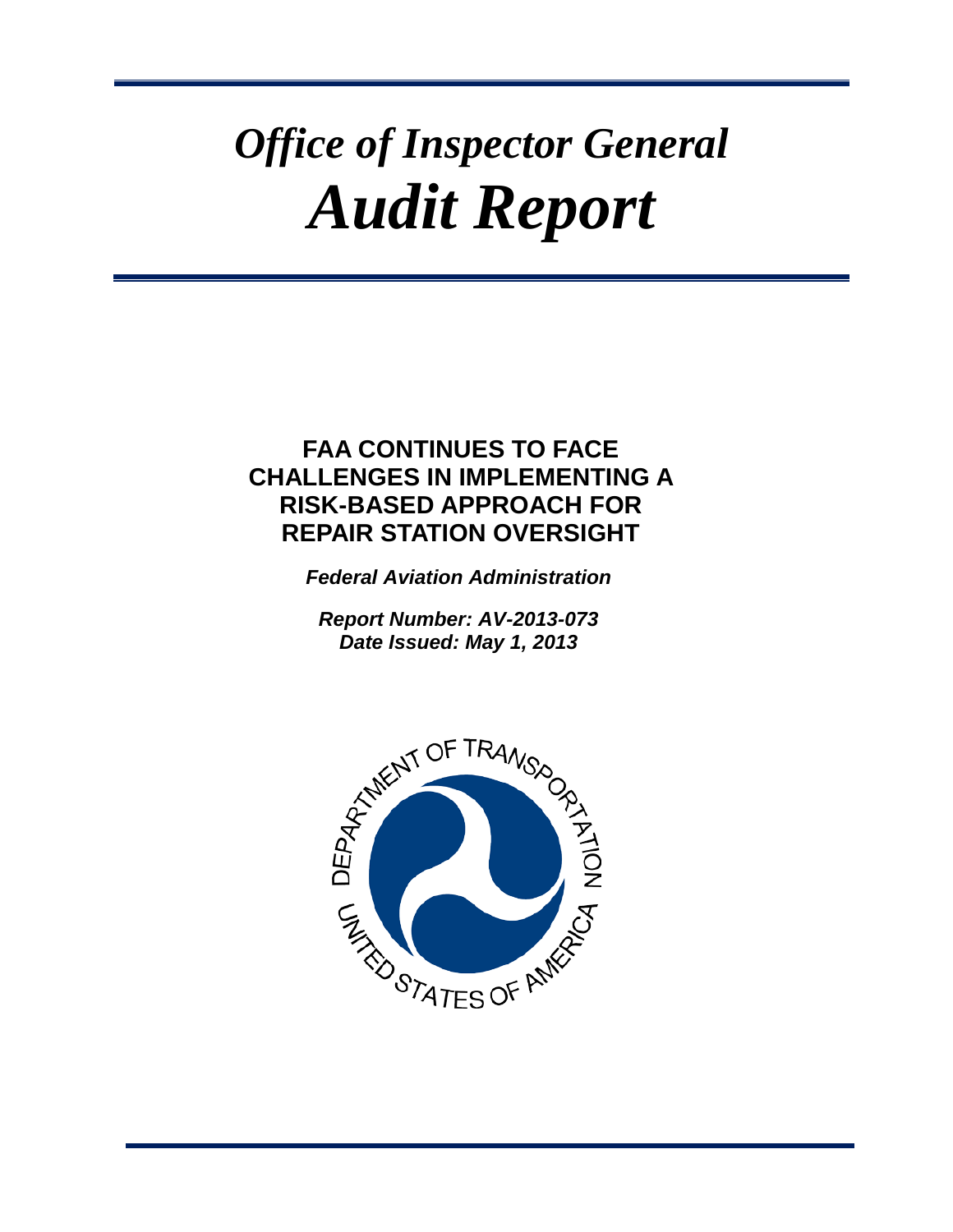# *Office of Inspector General Audit Report*

# **FAA CONTINUES TO FACE CHALLENGES IN IMPLEMENTING A RISK-BASED APPROACH FOR REPAIR STATION OVERSIGHT**

*Federal Aviation Administration*

*Report Number: AV-2013-073 Date Issued: May 1, 2013*

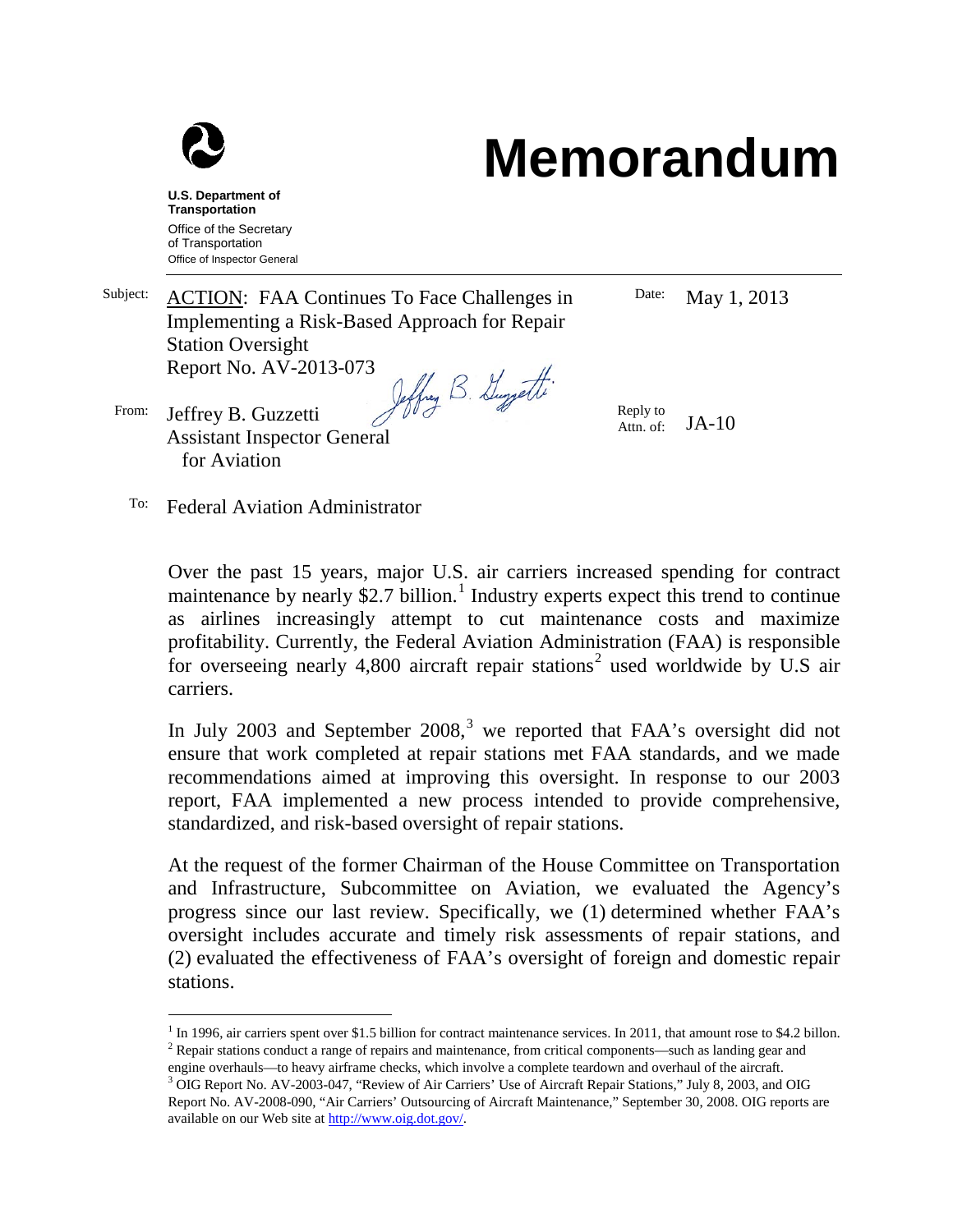

# **Memorandum**

**U.S. Department of Transportation** Office of the Secretary of Transportation Office of Inspector General

for Aviation

Date: May 1, 2013 Subject: ACTION: FAA Continues To Face Challenges in Implementing a Risk-Based Approach for Repair Station Oversight Report No. AV-2013-073 Jeffrey B. Guyjetti From: Jeffrey B. Guzzetti Reply to Attn. of: JA-10 Assistant Inspector General

To: Federal Aviation Administrator

Over the past 15 years, major U.S. air carriers increased spending for contract maintenance by nearly \$2.7 billion.<sup>[1](#page-1-0)</sup> Industry experts expect this trend to continue as airlines increasingly attempt to cut maintenance costs and maximize profitability. Currently, the Federal Aviation Administration (FAA) is responsible for overseeing nearly 4,800 aircraft repair stations<sup>[2](#page-1-1)</sup> used worldwide by U.S air carriers.

In July 200[3](#page-1-2) and September  $2008<sup>3</sup>$ , we reported that FAA's oversight did not ensure that work completed at repair stations met FAA standards, and we made recommendations aimed at improving this oversight. In response to our 2003 report, FAA implemented a new process intended to provide comprehensive, standardized, and risk-based oversight of repair stations.

At the request of the former Chairman of the House Committee on Transportation and Infrastructure, Subcommittee on Aviation, we evaluated the Agency's progress since our last review. Specifically, we (1) determined whether FAA's oversight includes accurate and timely risk assessments of repair stations, and (2) evaluated the effectiveness of FAA's oversight of foreign and domestic repair stations.

<span id="page-1-1"></span><span id="page-1-0"></span> $1$  In 1996, air carriers spent over \$1.5 billion for contract maintenance services. In 2011, that amount rose to \$4.2 billon. <sup>2</sup> Repair stations conduct a range of repairs and maintenance, from critical components—such as landing gear and engine overhauls—to heavy airframe checks, which involve a complete teardown and overhaul of the aircraft.

<span id="page-1-2"></span><sup>&</sup>lt;sup>3</sup> OIG Report No. AV-2003-047, "Review of Air Carriers' Use of Aircraft Repair Stations," July 8, 2003, and OIG Report No. AV-2008-090, "Air Carriers' Outsourcing of Aircraft Maintenance," September 30, 2008. OIG reports are available on our Web site at [http://www.oig.dot.gov/.](http://www.oig.dot.gov/)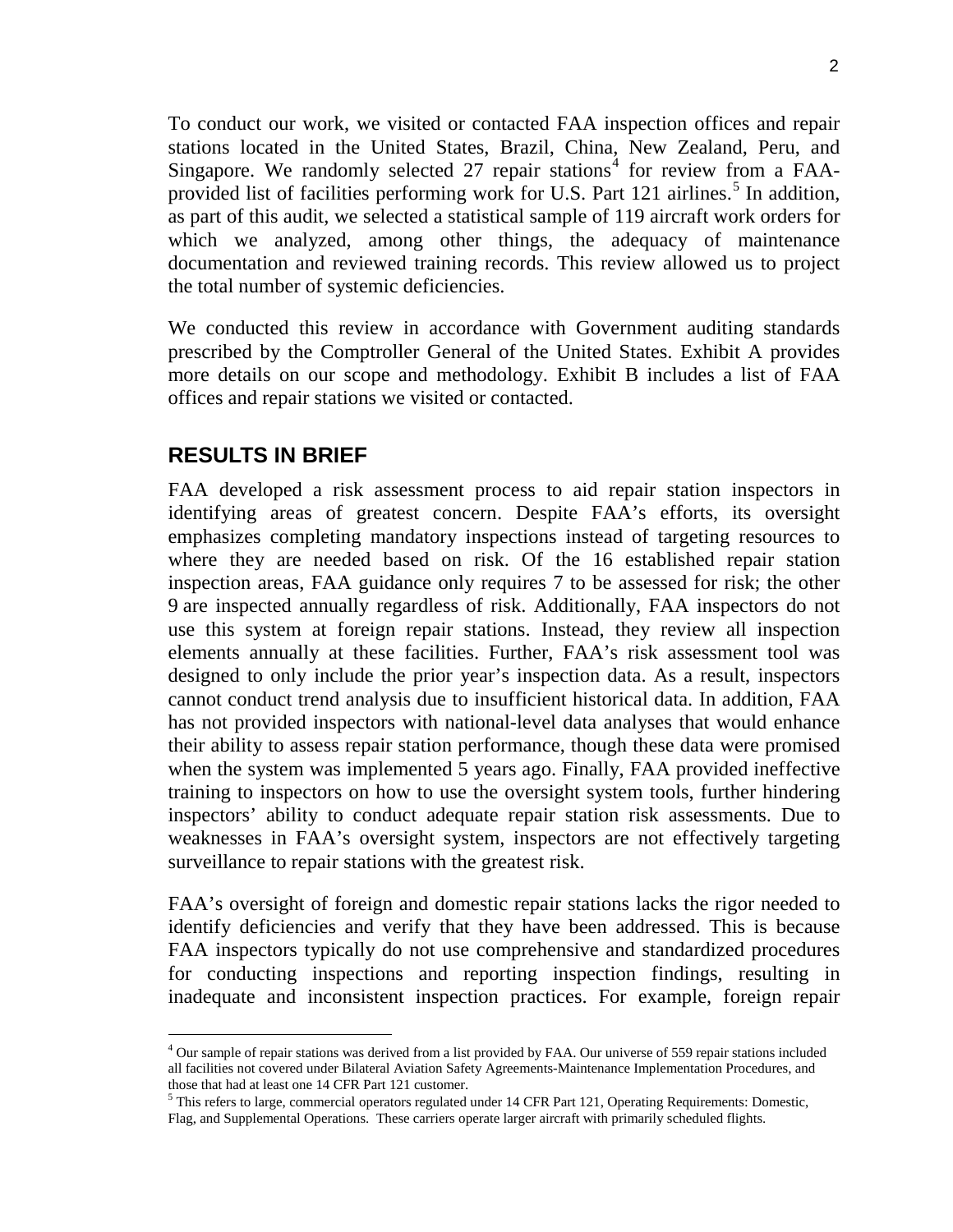To conduct our work, we visited or contacted FAA inspection offices and repair stations located in the United States, Brazil, China, New Zealand, Peru, and Singapore. We randomly selected 27 repair stations<sup>[4](#page-2-0)</sup> for review from a FAA-provided list of facilities performing work for U.S. Part 121 airlines.<sup>[5](#page-2-1)</sup> In addition, as part of this audit, we selected a statistical sample of 119 aircraft work orders for which we analyzed, among other things, the adequacy of maintenance documentation and reviewed training records. This review allowed us to project the total number of systemic deficiencies.

We conducted this review in accordance with Government auditing standards prescribed by the Comptroller General of the United States. Exhibit A provides more details on our scope and methodology. Exhibit B includes a list of FAA offices and repair stations we visited or contacted.

# **RESULTS IN BRIEF**

FAA developed a risk assessment process to aid repair station inspectors in identifying areas of greatest concern. Despite FAA's efforts, its oversight emphasizes completing mandatory inspections instead of targeting resources to where they are needed based on risk. Of the 16 established repair station inspection areas, FAA guidance only requires 7 to be assessed for risk; the other 9 are inspected annually regardless of risk. Additionally, FAA inspectors do not use this system at foreign repair stations. Instead, they review all inspection elements annually at these facilities. Further, FAA's risk assessment tool was designed to only include the prior year's inspection data. As a result, inspectors cannot conduct trend analysis due to insufficient historical data. In addition, FAA has not provided inspectors with national-level data analyses that would enhance their ability to assess repair station performance, though these data were promised when the system was implemented 5 years ago. Finally, FAA provided ineffective training to inspectors on how to use the oversight system tools, further hindering inspectors' ability to conduct adequate repair station risk assessments. Due to weaknesses in FAA's oversight system, inspectors are not effectively targeting surveillance to repair stations with the greatest risk.

FAA's oversight of foreign and domestic repair stations lacks the rigor needed to identify deficiencies and verify that they have been addressed. This is because FAA inspectors typically do not use comprehensive and standardized procedures for conducting inspections and reporting inspection findings, resulting in inadequate and inconsistent inspection practices. For example, foreign repair

<span id="page-2-0"></span> <sup>4</sup> Our sample of repair stations was derived from a list provided by FAA. Our universe of 559 repair stations included all facilities not covered under Bilateral Aviation Safety Agreements-Maintenance Implementation Procedures, and those that had at least one 14 CFR Part 121 customer.

<span id="page-2-1"></span><sup>&</sup>lt;sup>5</sup> This refers to large, commercial operators regulated under 14 CFR Part 121, Operating Requirements: Domestic, Flag, and Supplemental Operations. These carriers operate larger aircraft with primarily scheduled flights.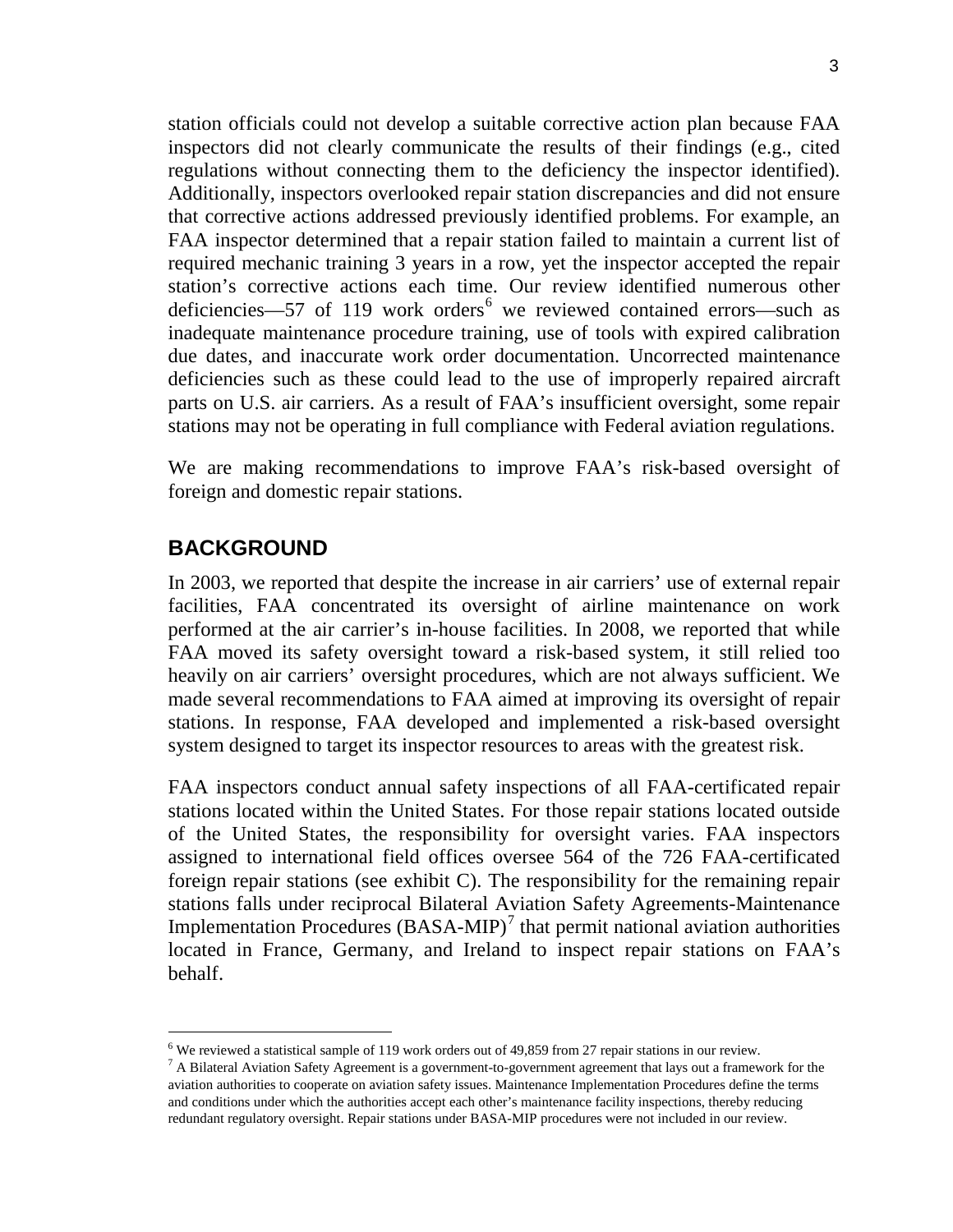station officials could not develop a suitable corrective action plan because FAA inspectors did not clearly communicate the results of their findings (e.g., cited regulations without connecting them to the deficiency the inspector identified). Additionally, inspectors overlooked repair station discrepancies and did not ensure that corrective actions addressed previously identified problems. For example, an FAA inspector determined that a repair station failed to maintain a current list of required mechanic training 3 years in a row, yet the inspector accepted the repair station's corrective actions each time. Our review identified numerous other deficiencies—57 of 119 work orders<sup>[6](#page-3-0)</sup> we reviewed contained errors—such as inadequate maintenance procedure training, use of tools with expired calibration due dates, and inaccurate work order documentation. Uncorrected maintenance deficiencies such as these could lead to the use of improperly repaired aircraft parts on U.S. air carriers. As a result of FAA's insufficient oversight, some repair stations may not be operating in full compliance with Federal aviation regulations.

We are making recommendations to improve FAA's risk-based oversight of foreign and domestic repair stations.

# **BACKGROUND**

In 2003, we reported that despite the increase in air carriers' use of external repair facilities, FAA concentrated its oversight of airline maintenance on work performed at the air carrier's in-house facilities. In 2008, we reported that while FAA moved its safety oversight toward a risk-based system, it still relied too heavily on air carriers' oversight procedures, which are not always sufficient. We made several recommendations to FAA aimed at improving its oversight of repair stations. In response, FAA developed and implemented a risk-based oversight system designed to target its inspector resources to areas with the greatest risk.

FAA inspectors conduct annual safety inspections of all FAA-certificated repair stations located within the United States. For those repair stations located outside of the United States, the responsibility for oversight varies. FAA inspectors assigned to international field offices oversee 564 of the 726 FAA-certificated foreign repair stations (see exhibit C). The responsibility for the remaining repair stations falls under reciprocal Bilateral Aviation Safety Agreements-Maintenance Implementation Procedures  $(BASA-MIP)^7$  $(BASA-MIP)^7$  that permit national aviation authorities located in France, Germany, and Ireland to inspect repair stations on FAA's behalf.

<span id="page-3-0"></span> $6$  We reviewed a statistical sample of 119 work orders out of 49,859 from 27 repair stations in our review.

<span id="page-3-1"></span> $7$  A Bilateral Aviation Safety Agreement is a government-to-government agreement that lays out a framework for the aviation authorities to cooperate on aviation safety issues. Maintenance Implementation Procedures define the terms and conditions under which the authorities accept each other's maintenance facility inspections, thereby reducing redundant regulatory oversight. Repair stations under BASA-MIP procedures were not included in our review.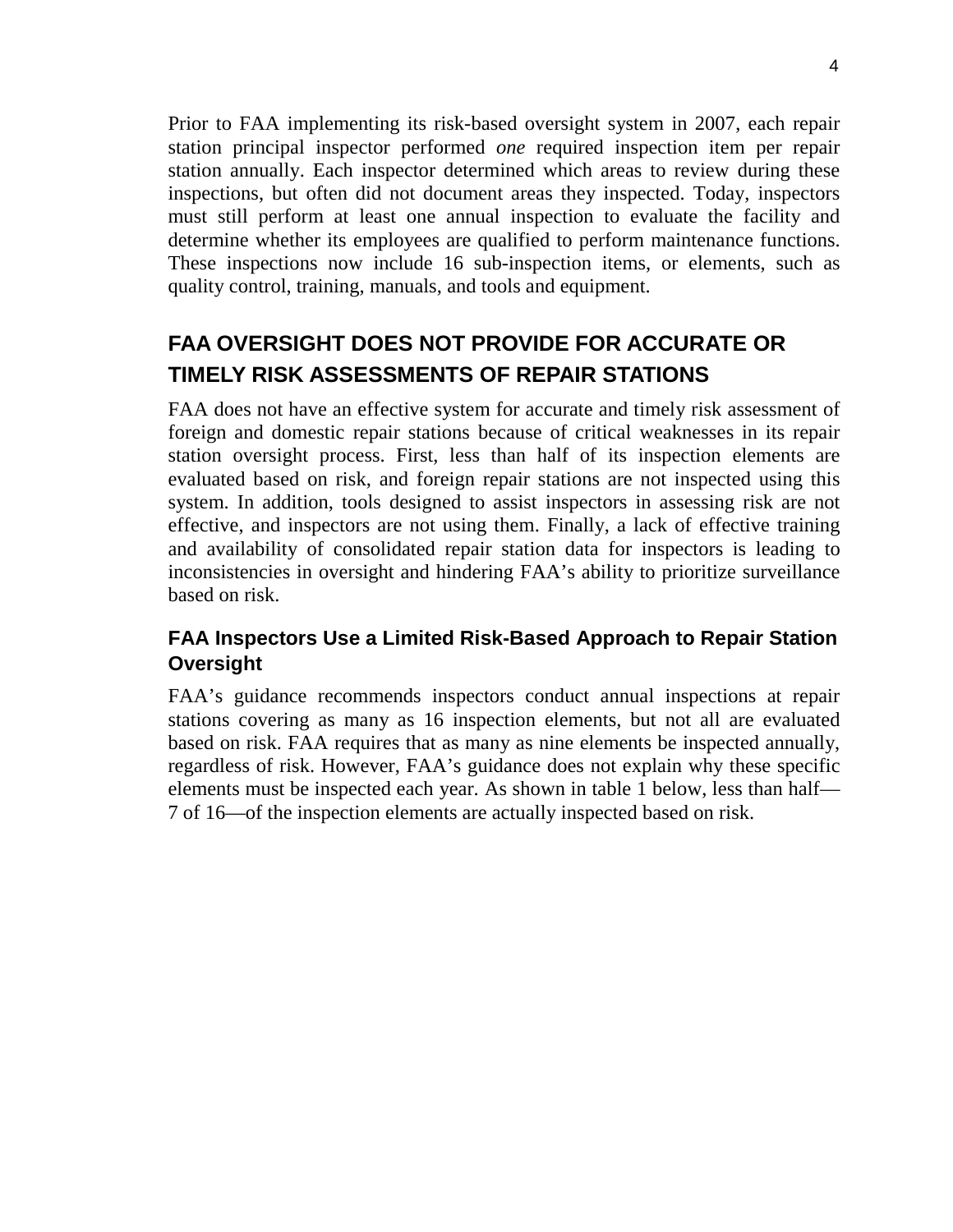Prior to FAA implementing its risk-based oversight system in 2007, each repair station principal inspector performed *one* required inspection item per repair station annually. Each inspector determined which areas to review during these inspections, but often did not document areas they inspected. Today, inspectors must still perform at least one annual inspection to evaluate the facility and determine whether its employees are qualified to perform maintenance functions. These inspections now include 16 sub-inspection items, or elements, such as quality control, training, manuals, and tools and equipment.

# **FAA OVERSIGHT DOES NOT PROVIDE FOR ACCURATE OR TIMELY RISK ASSESSMENTS OF REPAIR STATIONS**

FAA does not have an effective system for accurate and timely risk assessment of foreign and domestic repair stations because of critical weaknesses in its repair station oversight process. First, less than half of its inspection elements are evaluated based on risk, and foreign repair stations are not inspected using this system. In addition, tools designed to assist inspectors in assessing risk are not effective, and inspectors are not using them. Finally, a lack of effective training and availability of consolidated repair station data for inspectors is leading to inconsistencies in oversight and hindering FAA's ability to prioritize surveillance based on risk.

# **FAA Inspectors Use a Limited Risk-Based Approach to Repair Station Oversight**

FAA's guidance recommends inspectors conduct annual inspections at repair stations covering as many as 16 inspection elements, but not all are evaluated based on risk. FAA requires that as many as nine elements be inspected annually, regardless of risk. However, FAA's guidance does not explain why these specific elements must be inspected each year. As shown in table 1 below, less than half— 7 of 16—of the inspection elements are actually inspected based on risk.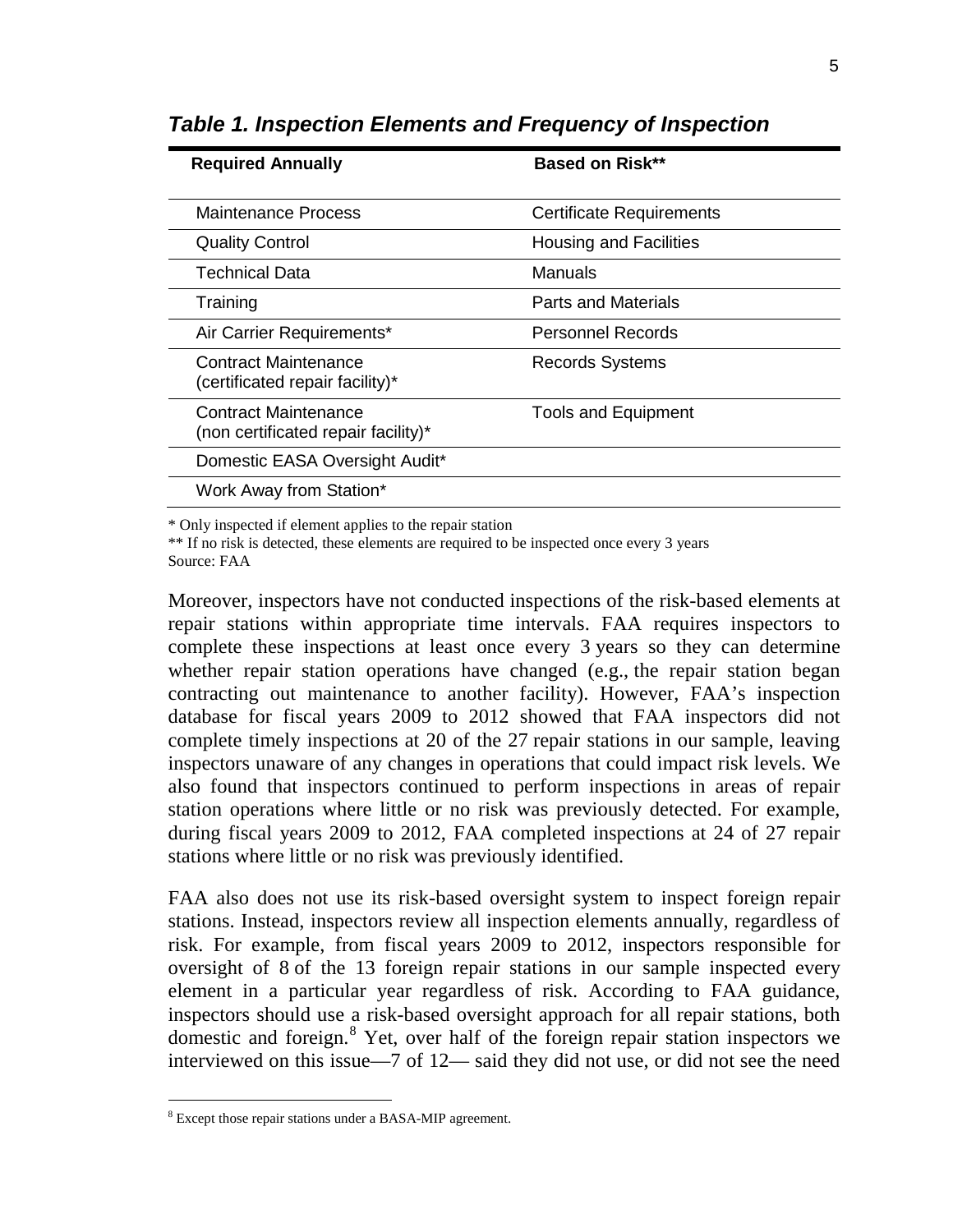| <b>Required Annually</b>                                    | <b>Based on Risk**</b>          |
|-------------------------------------------------------------|---------------------------------|
| <b>Maintenance Process</b>                                  | <b>Certificate Requirements</b> |
| <b>Quality Control</b>                                      | <b>Housing and Facilities</b>   |
| Technical Data                                              | Manuals                         |
| Training                                                    | <b>Parts and Materials</b>      |
| Air Carrier Requirements*                                   | Personnel Records               |
| Contract Maintenance<br>(certificated repair facility)*     | <b>Records Systems</b>          |
| Contract Maintenance<br>(non certificated repair facility)* | <b>Tools and Equipment</b>      |
| Domestic EASA Oversight Audit*                              |                                 |
| Work Away from Station*                                     |                                 |

*Table 1. Inspection Elements and Frequency of Inspection*

\* Only inspected if element applies to the repair station

\*\* If no risk is detected, these elements are required to be inspected once every 3 years Source: FAA

Moreover, inspectors have not conducted inspections of the risk-based elements at repair stations within appropriate time intervals. FAA requires inspectors to complete these inspections at least once every 3 years so they can determine whether repair station operations have changed (e.g., the repair station began contracting out maintenance to another facility). However, FAA's inspection database for fiscal years 2009 to 2012 showed that FAA inspectors did not complete timely inspections at 20 of the 27 repair stations in our sample, leaving inspectors unaware of any changes in operations that could impact risk levels. We also found that inspectors continued to perform inspections in areas of repair station operations where little or no risk was previously detected. For example, during fiscal years 2009 to 2012, FAA completed inspections at 24 of 27 repair stations where little or no risk was previously identified.

FAA also does not use its risk-based oversight system to inspect foreign repair stations. Instead, inspectors review all inspection elements annually, regardless of risk. For example, from fiscal years 2009 to 2012, inspectors responsible for oversight of 8 of the 13 foreign repair stations in our sample inspected every element in a particular year regardless of risk. According to FAA guidance, inspectors should use a risk-based oversight approach for all repair stations, both domestic and foreign. [8](#page-5-0) Yet, over half of the foreign repair station inspectors we interviewed on this issue—7 of 12— said they did not use, or did not see the need

<span id="page-5-0"></span> <sup>8</sup> Except those repair stations under a BASA-MIP agreement.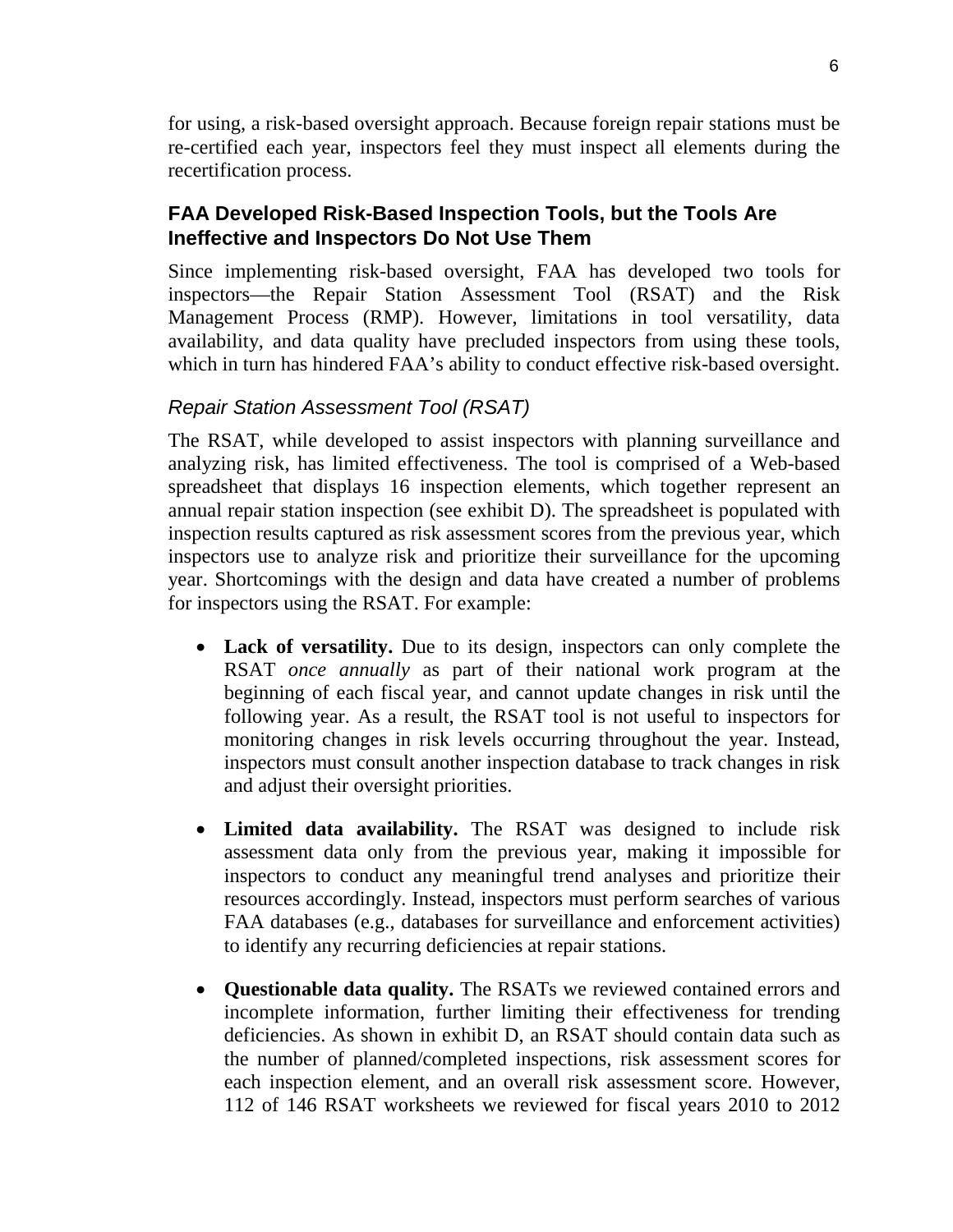for using, a risk-based oversight approach. Because foreign repair stations must be re-certified each year, inspectors feel they must inspect all elements during the recertification process.

## **FAA Developed Risk-Based Inspection Tools, but the Tools Are Ineffective and Inspectors Do Not Use Them**

Since implementing risk-based oversight, FAA has developed two tools for inspectors—the Repair Station Assessment Tool (RSAT) and the Risk Management Process (RMP). However, limitations in tool versatility, data availability, and data quality have precluded inspectors from using these tools, which in turn has hindered FAA's ability to conduct effective risk-based oversight.

### *Repair Station Assessment Tool (RSAT)*

The RSAT, while developed to assist inspectors with planning surveillance and analyzing risk, has limited effectiveness. The tool is comprised of a Web-based spreadsheet that displays 16 inspection elements, which together represent an annual repair station inspection (see exhibit D). The spreadsheet is populated with inspection results captured as risk assessment scores from the previous year, which inspectors use to analyze risk and prioritize their surveillance for the upcoming year. Shortcomings with the design and data have created a number of problems for inspectors using the RSAT. For example:

- **Lack of versatility.** Due to its design, inspectors can only complete the RSAT *once annually* as part of their national work program at the beginning of each fiscal year, and cannot update changes in risk until the following year. As a result, the RSAT tool is not useful to inspectors for monitoring changes in risk levels occurring throughout the year. Instead, inspectors must consult another inspection database to track changes in risk and adjust their oversight priorities.
- **Limited data availability.** The RSAT was designed to include risk assessment data only from the previous year, making it impossible for inspectors to conduct any meaningful trend analyses and prioritize their resources accordingly. Instead, inspectors must perform searches of various FAA databases (e.g., databases for surveillance and enforcement activities) to identify any recurring deficiencies at repair stations.
- **Questionable data quality.** The RSATs we reviewed contained errors and incomplete information, further limiting their effectiveness for trending deficiencies. As shown in exhibit D, an RSAT should contain data such as the number of planned/completed inspections, risk assessment scores for each inspection element, and an overall risk assessment score. However, 112 of 146 RSAT worksheets we reviewed for fiscal years 2010 to 2012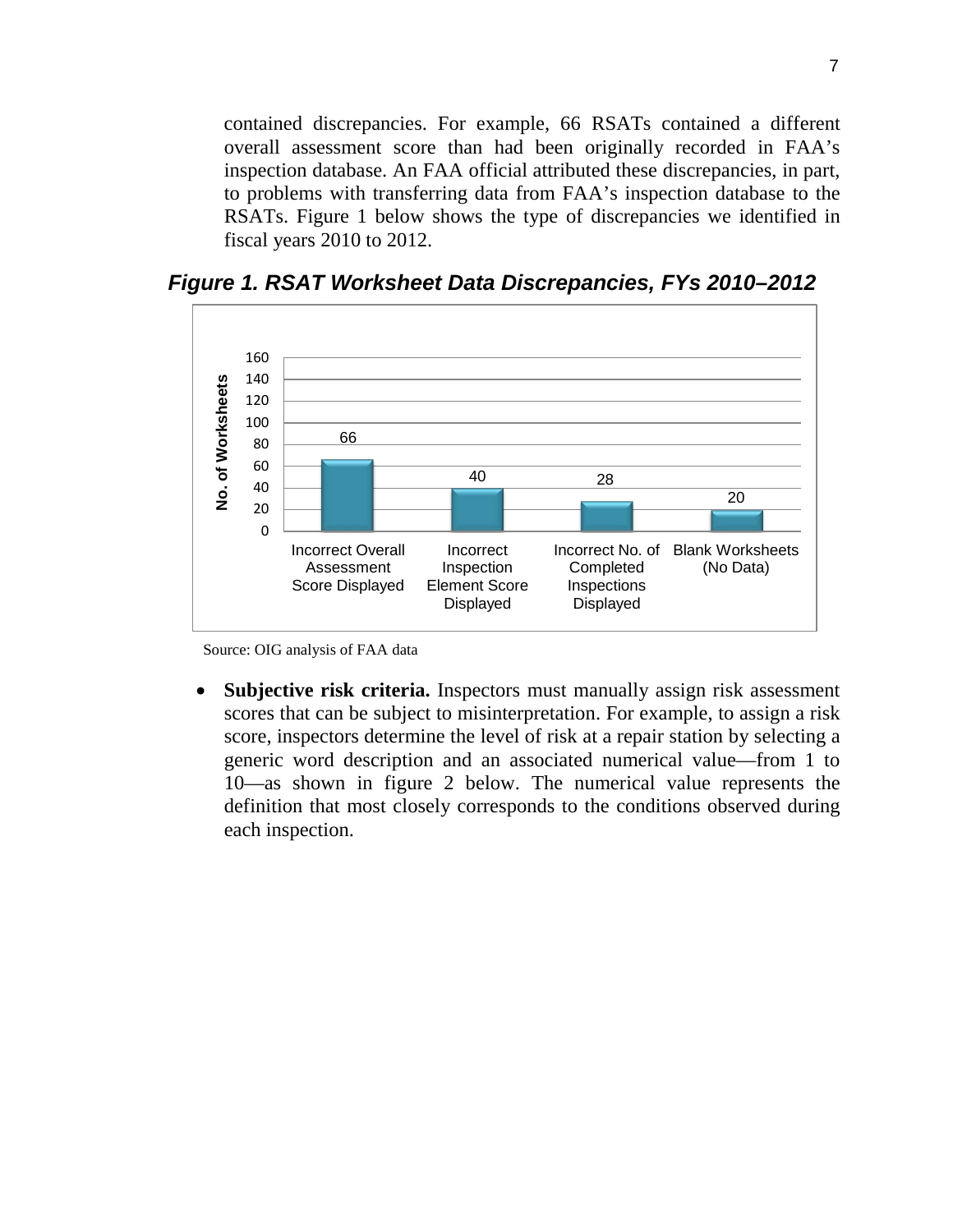contained discrepancies. For example, 66 RSATs contained a different overall assessment score than had been originally recorded in FAA's inspection database. An FAA official attributed these discrepancies, in part, to problems with transferring data from FAA's inspection database to the RSATs. Figure 1 below shows the type of discrepancies we identified in fiscal years 2010 to 2012.



*Figure 1. RSAT Worksheet Data Discrepancies, FYs 2010–2012*

Source: OIG analysis of FAA data

• **Subjective risk criteria.** Inspectors must manually assign risk assessment scores that can be subject to misinterpretation. For example, to assign a risk score, inspectors determine the level of risk at a repair station by selecting a generic word description and an associated numerical value—from 1 to 10—as shown in figure 2 below. The numerical value represents the definition that most closely corresponds to the conditions observed during each inspection.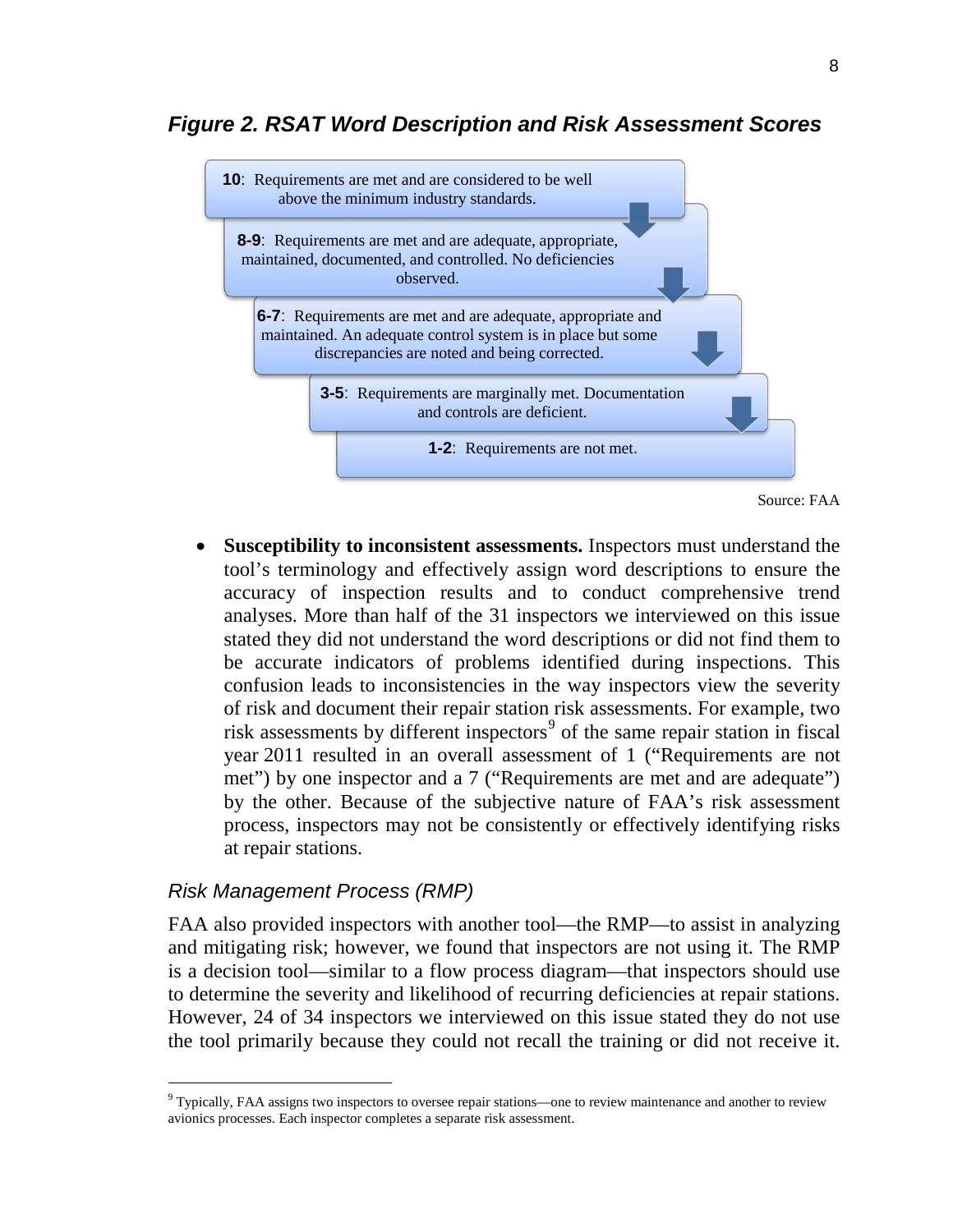# *Figure 2. RSAT Word Description and Risk Assessment Scores*



Source: FAA

• **Susceptibility to inconsistent assessments.** Inspectors must understand the tool's terminology and effectively assign word descriptions to ensure the accuracy of inspection results and to conduct comprehensive trend analyses. More than half of the 31 inspectors we interviewed on this issue stated they did not understand the word descriptions or did not find them to be accurate indicators of problems identified during inspections. This confusion leads to inconsistencies in the way inspectors view the severity of risk and document their repair station risk assessments. For example, two risk assessments by different inspectors<sup>[9](#page-8-0)</sup> of the same repair station in fiscal year 2011 resulted in an overall assessment of 1 ("Requirements are not met") by one inspector and a 7 ("Requirements are met and are adequate") by the other. Because of the subjective nature of FAA's risk assessment process, inspectors may not be consistently or effectively identifying risks at repair stations.

#### *Risk Management Process (RMP)*

FAA also provided inspectors with another tool—the RMP—to assist in analyzing and mitigating risk; however, we found that inspectors are not using it. The RMP is a decision tool—similar to a flow process diagram—that inspectors should use to determine the severity and likelihood of recurring deficiencies at repair stations. However, 24 of 34 inspectors we interviewed on this issue stated they do not use the tool primarily because they could not recall the training or did not receive it.

<span id="page-8-0"></span> $9$  Typically, FAA assigns two inspectors to oversee repair stations—one to review maintenance and another to review avionics processes. Each inspector completes a separate risk assessment.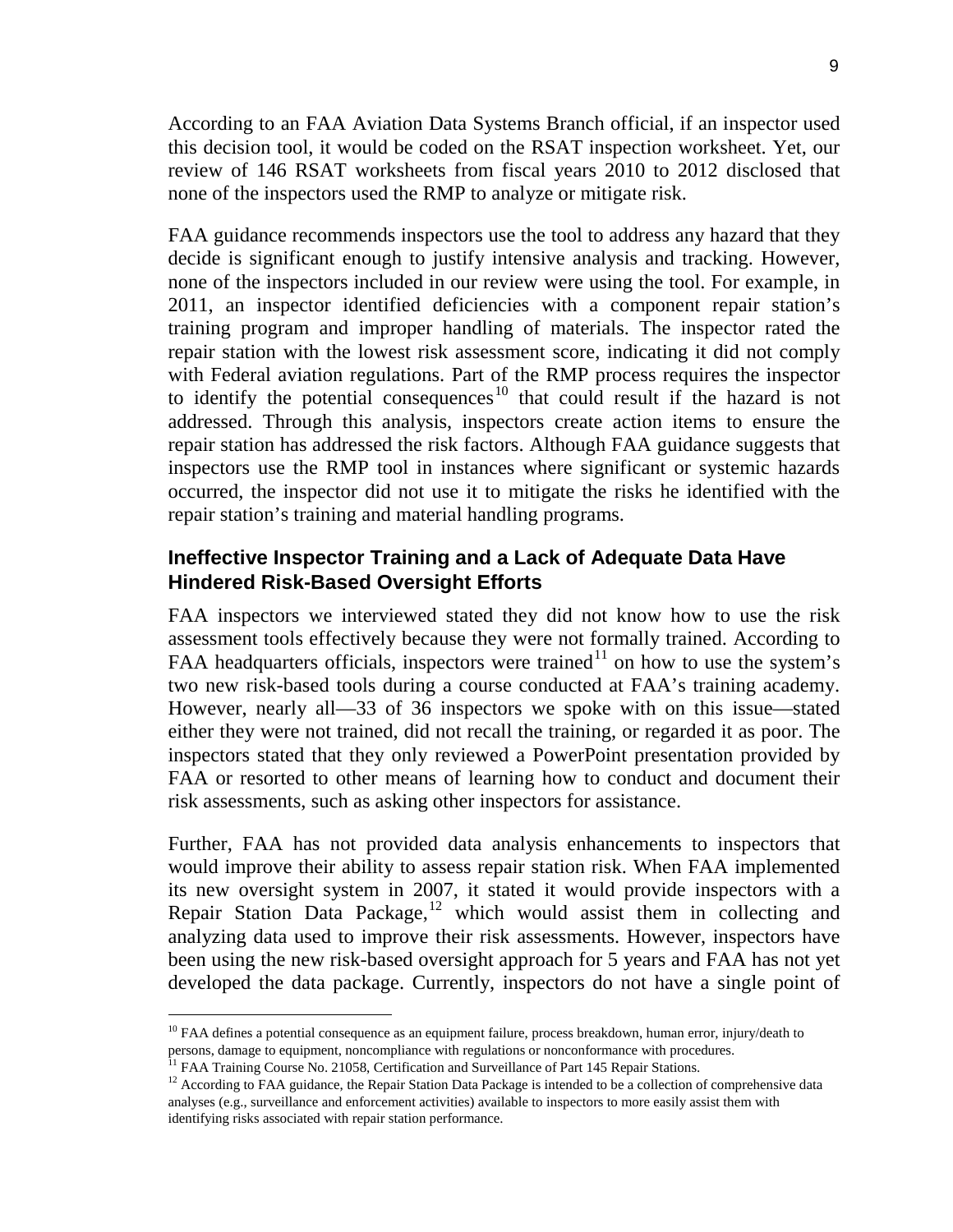According to an FAA Aviation Data Systems Branch official, if an inspector used this decision tool, it would be coded on the RSAT inspection worksheet. Yet, our review of 146 RSAT worksheets from fiscal years 2010 to 2012 disclosed that none of the inspectors used the RMP to analyze or mitigate risk.

FAA guidance recommends inspectors use the tool to address any hazard that they decide is significant enough to justify intensive analysis and tracking. However, none of the inspectors included in our review were using the tool. For example, in 2011, an inspector identified deficiencies with a component repair station's training program and improper handling of materials. The inspector rated the repair station with the lowest risk assessment score, indicating it did not comply with Federal aviation regulations. Part of the RMP process requires the inspector to identify the potential consequences<sup>[10](#page-9-0)</sup> that could result if the hazard is not addressed. Through this analysis, inspectors create action items to ensure the repair station has addressed the risk factors. Although FAA guidance suggests that inspectors use the RMP tool in instances where significant or systemic hazards occurred, the inspector did not use it to mitigate the risks he identified with the repair station's training and material handling programs.

#### **Ineffective Inspector Training and a Lack of Adequate Data Have Hindered Risk-Based Oversight Efforts**

FAA inspectors we interviewed stated they did not know how to use the risk assessment tools effectively because they were not formally trained. According to FAA headquarters officials, inspectors were trained<sup>[11](#page-9-1)</sup> on how to use the system's two new risk-based tools during a course conducted at FAA's training academy. However, nearly all—33 of 36 inspectors we spoke with on this issue—stated either they were not trained, did not recall the training, or regarded it as poor. The inspectors stated that they only reviewed a PowerPoint presentation provided by FAA or resorted to other means of learning how to conduct and document their risk assessments, such as asking other inspectors for assistance.

Further, FAA has not provided data analysis enhancements to inspectors that would improve their ability to assess repair station risk. When FAA implemented its new oversight system in 2007, it stated it would provide inspectors with a Repair Station Data Package,<sup>[12](#page-9-2)</sup> which would assist them in collecting and analyzing data used to improve their risk assessments. However, inspectors have been using the new risk-based oversight approach for 5 years and FAA has not yet developed the data package. Currently, inspectors do not have a single point of

<span id="page-9-0"></span><sup>&</sup>lt;sup>10</sup> FAA defines a potential consequence as an equipment failure, process breakdown, human error, injury/death to persons, damage to equipment, noncompliance with regulations or nonconformance with procedures.

<sup>&</sup>lt;sup>11</sup> FAA Training Course No. 21058, Certification and Surveillance of Part 145 Repair Stations.

<span id="page-9-2"></span><span id="page-9-1"></span> $12$  According to FAA guidance, the Repair Station Data Package is intended to be a collection of comprehensive data analyses (e.g., surveillance and enforcement activities) available to inspectors to more easily assist them with identifying risks associated with repair station performance.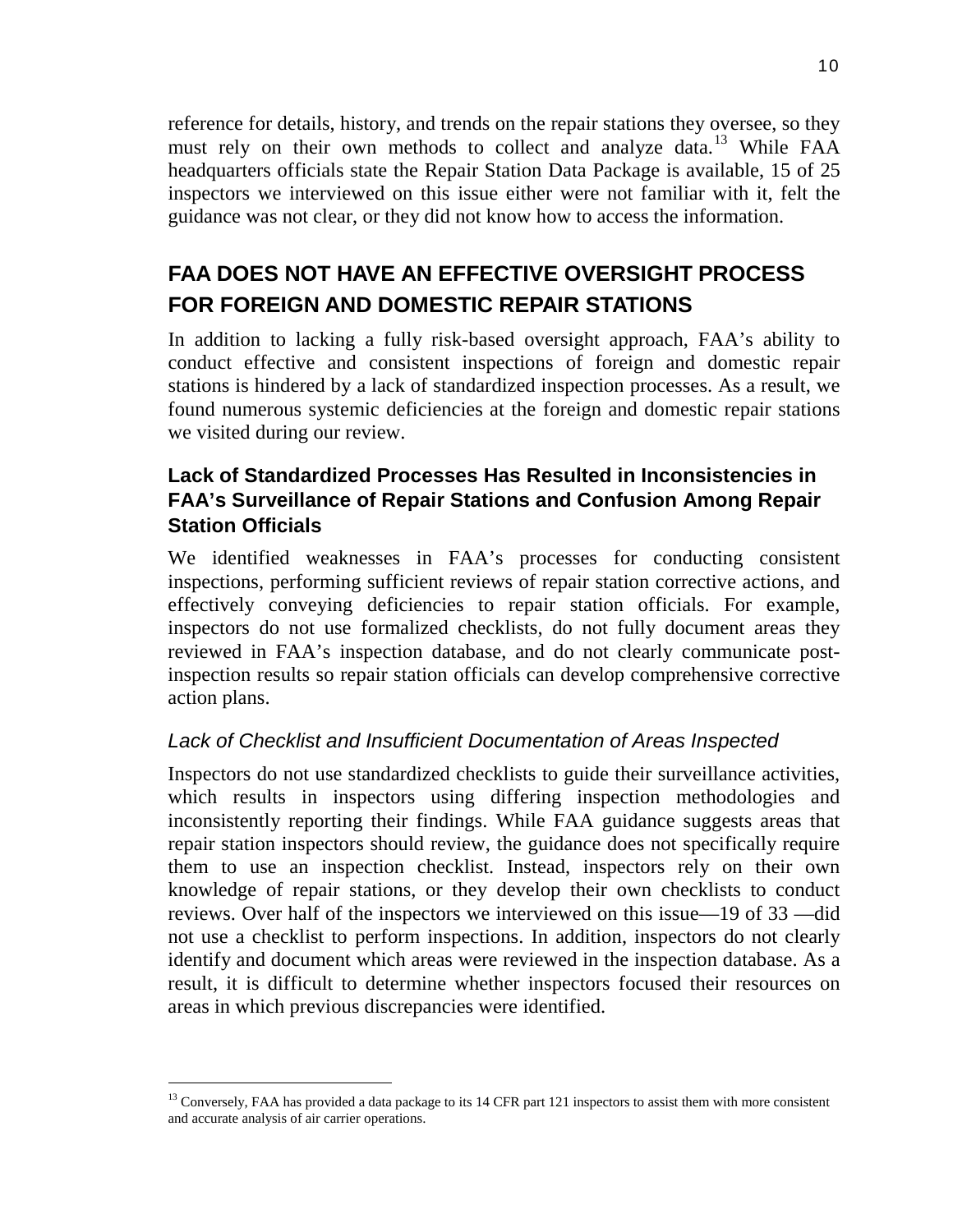reference for details, history, and trends on the repair stations they oversee, so they must rely on their own methods to collect and analyze data.<sup>[13](#page-10-0)</sup> While FAA headquarters officials state the Repair Station Data Package is available, 15 of 25 inspectors we interviewed on this issue either were not familiar with it, felt the guidance was not clear, or they did not know how to access the information.

# **FAA DOES NOT HAVE AN EFFECTIVE OVERSIGHT PROCESS FOR FOREIGN AND DOMESTIC REPAIR STATIONS**

In addition to lacking a fully risk-based oversight approach, FAA's ability to conduct effective and consistent inspections of foreign and domestic repair stations is hindered by a lack of standardized inspection processes. As a result, we found numerous systemic deficiencies at the foreign and domestic repair stations we visited during our review.

# **Lack of Standardized Processes Has Resulted in Inconsistencies in FAA's Surveillance of Repair Stations and Confusion Among Repair Station Officials**

We identified weaknesses in FAA's processes for conducting consistent inspections, performing sufficient reviews of repair station corrective actions, and effectively conveying deficiencies to repair station officials. For example, inspectors do not use formalized checklists, do not fully document areas they reviewed in FAA's inspection database, and do not clearly communicate postinspection results so repair station officials can develop comprehensive corrective action plans.

# *Lack of Checklist and Insufficient Documentation of Areas Inspected*

Inspectors do not use standardized checklists to guide their surveillance activities, which results in inspectors using differing inspection methodologies and inconsistently reporting their findings. While FAA guidance suggests areas that repair station inspectors should review, the guidance does not specifically require them to use an inspection checklist. Instead, inspectors rely on their own knowledge of repair stations, or they develop their own checklists to conduct reviews. Over half of the inspectors we interviewed on this issue—19 of 33 —did not use a checklist to perform inspections. In addition, inspectors do not clearly identify and document which areas were reviewed in the inspection database. As a result, it is difficult to determine whether inspectors focused their resources on areas in which previous discrepancies were identified.

<span id="page-10-0"></span> $<sup>13</sup>$  Conversely, FAA has provided a data package to its 14 CFR part 121 inspectors to assist them with more consistent</sup> and accurate analysis of air carrier operations.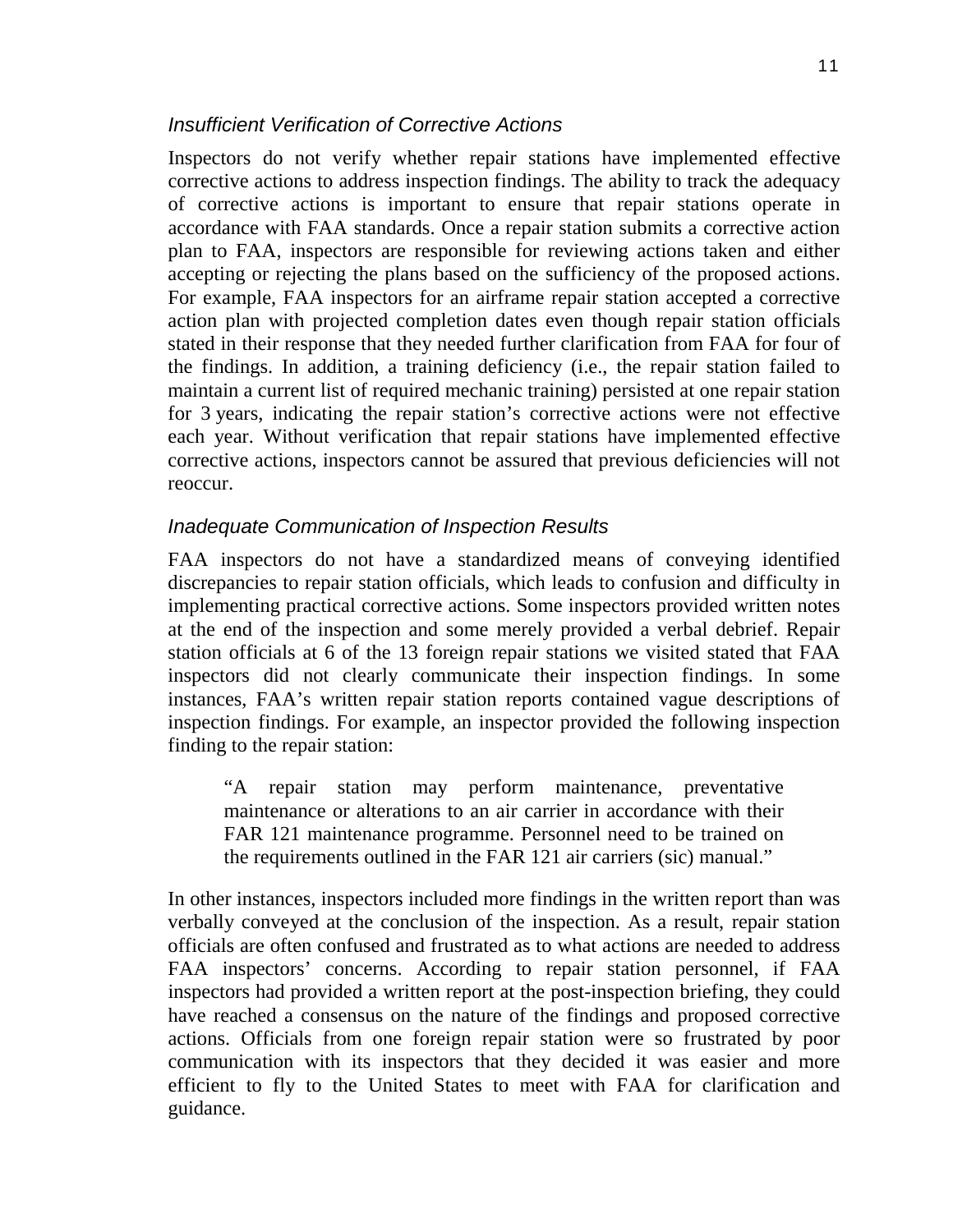#### *Insufficient Verification of Corrective Actions*

Inspectors do not verify whether repair stations have implemented effective corrective actions to address inspection findings. The ability to track the adequacy of corrective actions is important to ensure that repair stations operate in accordance with FAA standards. Once a repair station submits a corrective action plan to FAA, inspectors are responsible for reviewing actions taken and either accepting or rejecting the plans based on the sufficiency of the proposed actions. For example, FAA inspectors for an airframe repair station accepted a corrective action plan with projected completion dates even though repair station officials stated in their response that they needed further clarification from FAA for four of the findings. In addition, a training deficiency (i.e., the repair station failed to maintain a current list of required mechanic training) persisted at one repair station for 3 years, indicating the repair station's corrective actions were not effective each year. Without verification that repair stations have implemented effective corrective actions, inspectors cannot be assured that previous deficiencies will not reoccur.

#### *Inadequate Communication of Inspection Results*

FAA inspectors do not have a standardized means of conveying identified discrepancies to repair station officials, which leads to confusion and difficulty in implementing practical corrective actions. Some inspectors provided written notes at the end of the inspection and some merely provided a verbal debrief. Repair station officials at 6 of the 13 foreign repair stations we visited stated that FAA inspectors did not clearly communicate their inspection findings. In some instances, FAA's written repair station reports contained vague descriptions of inspection findings. For example, an inspector provided the following inspection finding to the repair station:

"A repair station may perform maintenance, preventative maintenance or alterations to an air carrier in accordance with their FAR 121 maintenance programme. Personnel need to be trained on the requirements outlined in the FAR 121 air carriers (sic) manual."

In other instances, inspectors included more findings in the written report than was verbally conveyed at the conclusion of the inspection. As a result, repair station officials are often confused and frustrated as to what actions are needed to address FAA inspectors' concerns. According to repair station personnel, if FAA inspectors had provided a written report at the post-inspection briefing, they could have reached a consensus on the nature of the findings and proposed corrective actions. Officials from one foreign repair station were so frustrated by poor communication with its inspectors that they decided it was easier and more efficient to fly to the United States to meet with FAA for clarification and guidance.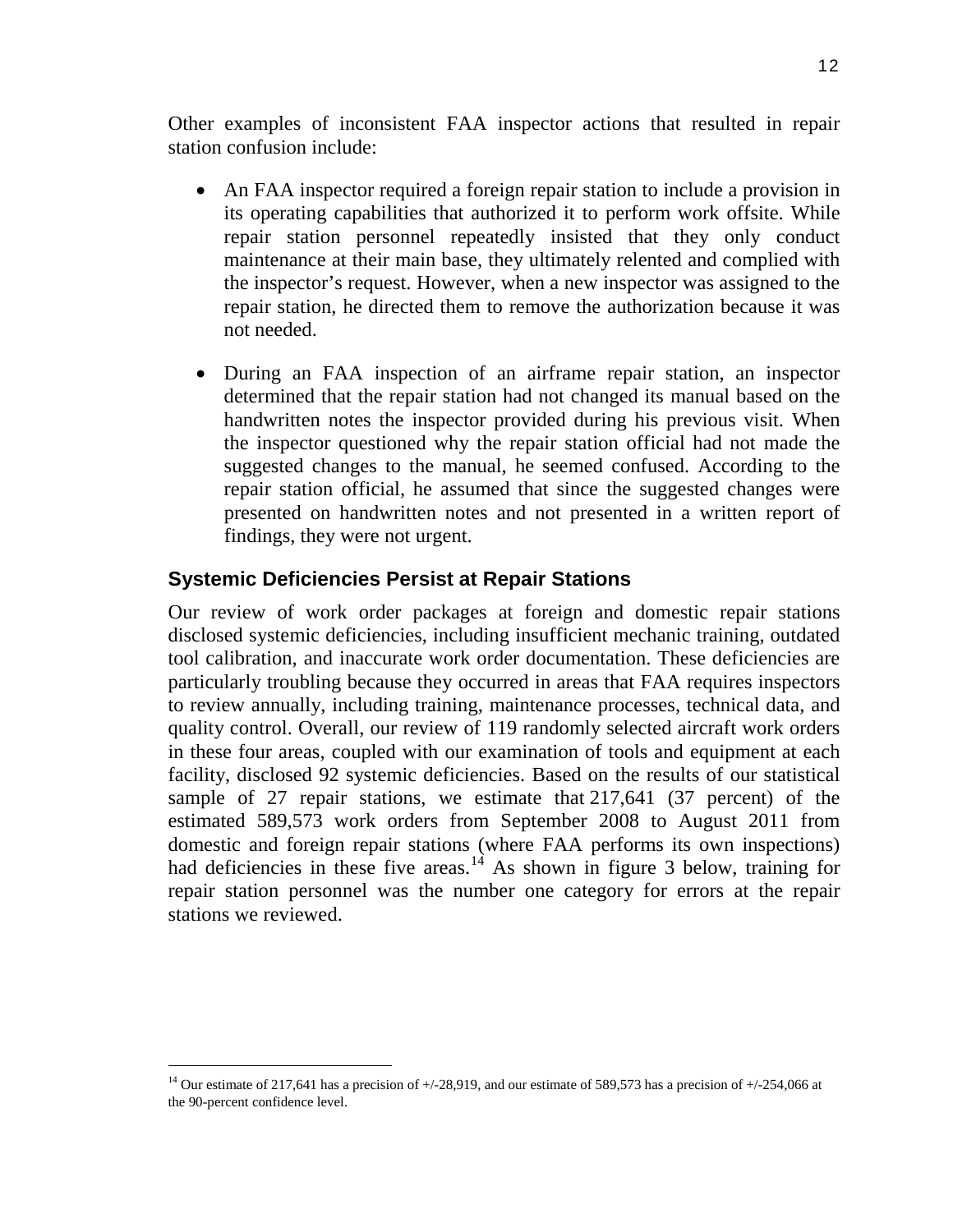Other examples of inconsistent FAA inspector actions that resulted in repair station confusion include:

- An FAA inspector required a foreign repair station to include a provision in its operating capabilities that authorized it to perform work offsite. While repair station personnel repeatedly insisted that they only conduct maintenance at their main base, they ultimately relented and complied with the inspector's request. However, when a new inspector was assigned to the repair station, he directed them to remove the authorization because it was not needed.
- During an FAA inspection of an airframe repair station, an inspector determined that the repair station had not changed its manual based on the handwritten notes the inspector provided during his previous visit. When the inspector questioned why the repair station official had not made the suggested changes to the manual, he seemed confused. According to the repair station official, he assumed that since the suggested changes were presented on handwritten notes and not presented in a written report of findings, they were not urgent.

### **Systemic Deficiencies Persist at Repair Stations**

Our review of work order packages at foreign and domestic repair stations disclosed systemic deficiencies, including insufficient mechanic training, outdated tool calibration, and inaccurate work order documentation. These deficiencies are particularly troubling because they occurred in areas that FAA requires inspectors to review annually, including training, maintenance processes, technical data, and quality control. Overall, our review of 119 randomly selected aircraft work orders in these four areas, coupled with our examination of tools and equipment at each facility, disclosed 92 systemic deficiencies. Based on the results of our statistical sample of 27 repair stations, we estimate that 217,641 (37 percent) of the estimated 589,573 work orders from September 2008 to August 2011 from domestic and foreign repair stations (where FAA performs its own inspections) had deficiencies in these five areas.<sup>[14](#page-12-0)</sup> As shown in figure 3 below, training for repair station personnel was the number one category for errors at the repair stations we reviewed.

<span id="page-12-0"></span><sup>&</sup>lt;sup>14</sup> Our estimate of 217,641 has a precision of  $+/28,919$ , and our estimate of 589,573 has a precision of  $+/254,066$  at the 90-percent confidence level.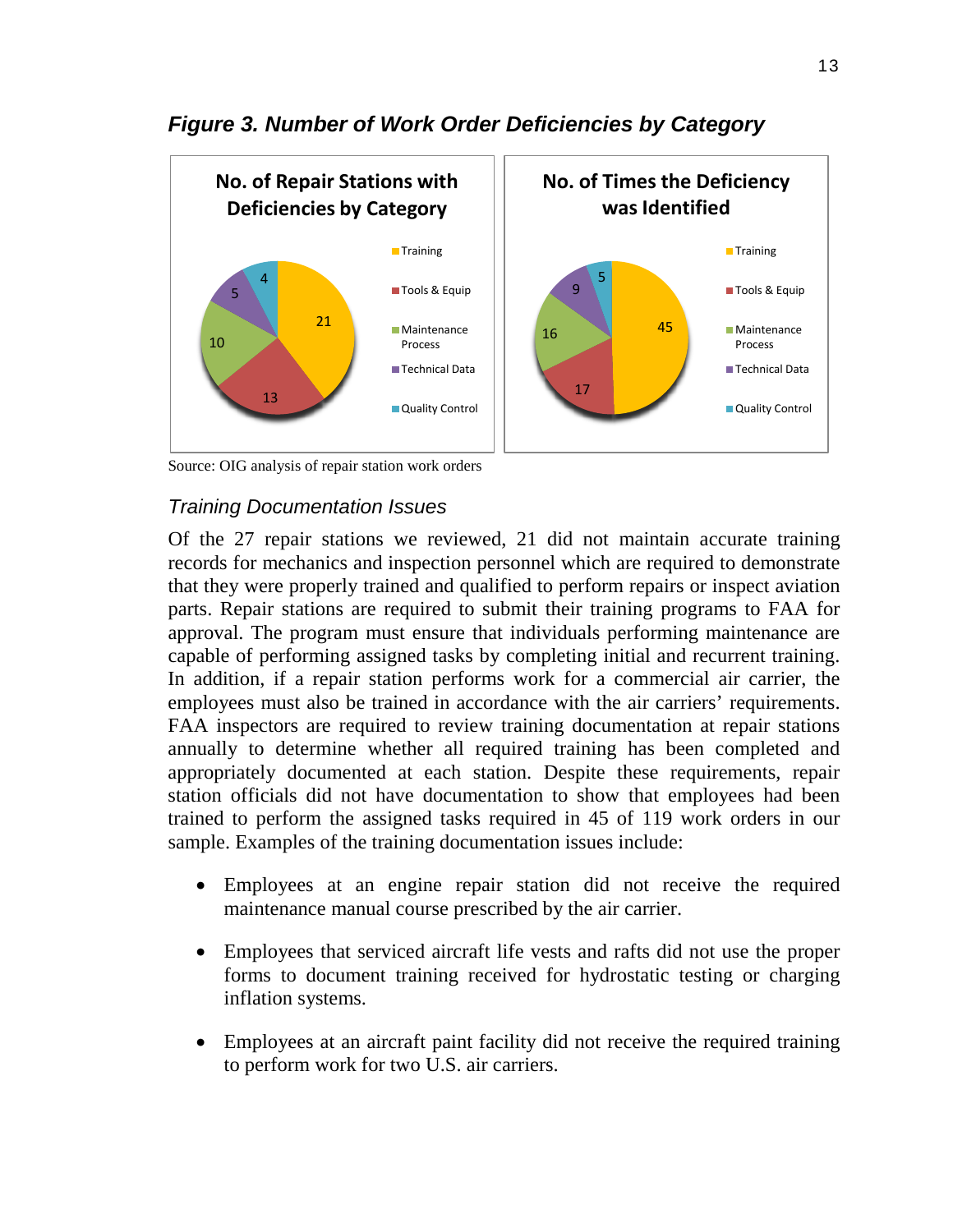

# *Figure 3. Number of Work Order Deficiencies by Category*

Source: OIG analysis of repair station work orders

## *Training Documentation Issues*

Of the 27 repair stations we reviewed, 21 did not maintain accurate training records for mechanics and inspection personnel which are required to demonstrate that they were properly trained and qualified to perform repairs or inspect aviation parts. Repair stations are required to submit their training programs to FAA for approval. The program must ensure that individuals performing maintenance are capable of performing assigned tasks by completing initial and recurrent training. In addition, if a repair station performs work for a commercial air carrier, the employees must also be trained in accordance with the air carriers' requirements. FAA inspectors are required to review training documentation at repair stations annually to determine whether all required training has been completed and appropriately documented at each station. Despite these requirements, repair station officials did not have documentation to show that employees had been trained to perform the assigned tasks required in 45 of 119 work orders in our sample. Examples of the training documentation issues include:

- Employees at an engine repair station did not receive the required maintenance manual course prescribed by the air carrier.
- Employees that serviced aircraft life vests and rafts did not use the proper forms to document training received for hydrostatic testing or charging inflation systems.
- Employees at an aircraft paint facility did not receive the required training to perform work for two U.S. air carriers.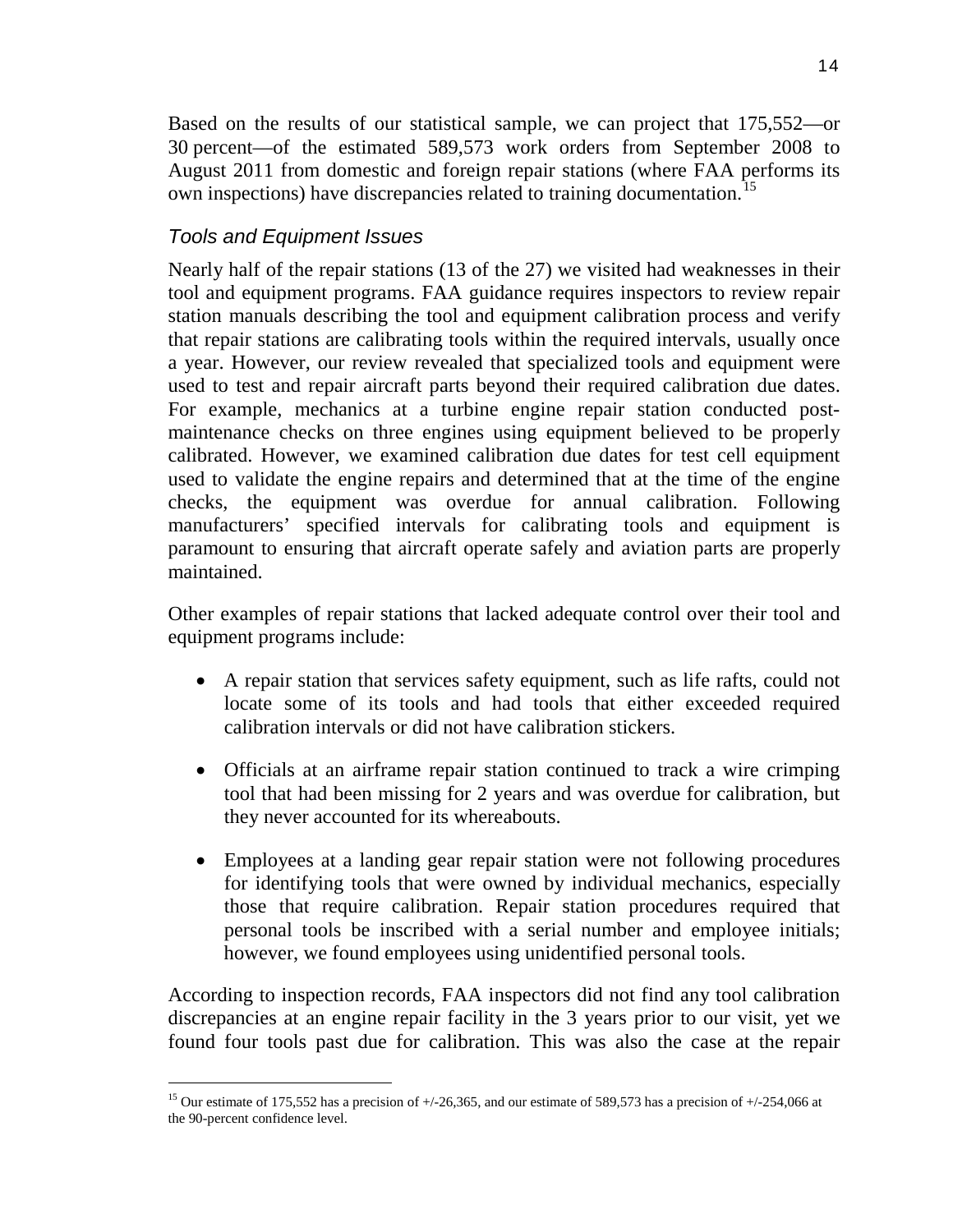Based on the results of our statistical sample, we can project that 175,552—or 30 percent—of the estimated 589,573 work orders from September 2008 to August 2011 from domestic and foreign repair stations (where FAA performs its own inspections) have discrepancies related to training documentation.<sup>[15](#page-14-0)</sup>

# *Tools and Equipment Issues*

Nearly half of the repair stations (13 of the 27) we visited had weaknesses in their tool and equipment programs. FAA guidance requires inspectors to review repair station manuals describing the tool and equipment calibration process and verify that repair stations are calibrating tools within the required intervals, usually once a year. However, our review revealed that specialized tools and equipment were used to test and repair aircraft parts beyond their required calibration due dates. For example, mechanics at a turbine engine repair station conducted postmaintenance checks on three engines using equipment believed to be properly calibrated. However, we examined calibration due dates for test cell equipment used to validate the engine repairs and determined that at the time of the engine checks, the equipment was overdue for annual calibration. Following manufacturers' specified intervals for calibrating tools and equipment is paramount to ensuring that aircraft operate safely and aviation parts are properly maintained.

Other examples of repair stations that lacked adequate control over their tool and equipment programs include:

- A repair station that services safety equipment, such as life rafts, could not locate some of its tools and had tools that either exceeded required calibration intervals or did not have calibration stickers.
- Officials at an airframe repair station continued to track a wire crimping tool that had been missing for 2 years and was overdue for calibration, but they never accounted for its whereabouts.
- Employees at a landing gear repair station were not following procedures for identifying tools that were owned by individual mechanics, especially those that require calibration. Repair station procedures required that personal tools be inscribed with a serial number and employee initials; however, we found employees using unidentified personal tools.

According to inspection records, FAA inspectors did not find any tool calibration discrepancies at an engine repair facility in the 3 years prior to our visit, yet we found four tools past due for calibration. This was also the case at the repair

<span id="page-14-0"></span><sup>&</sup>lt;sup>15</sup> Our estimate of 175,552 has a precision of  $+/-26,365$ , and our estimate of 589,573 has a precision of  $+/-254,066$  at the 90-percent confidence level.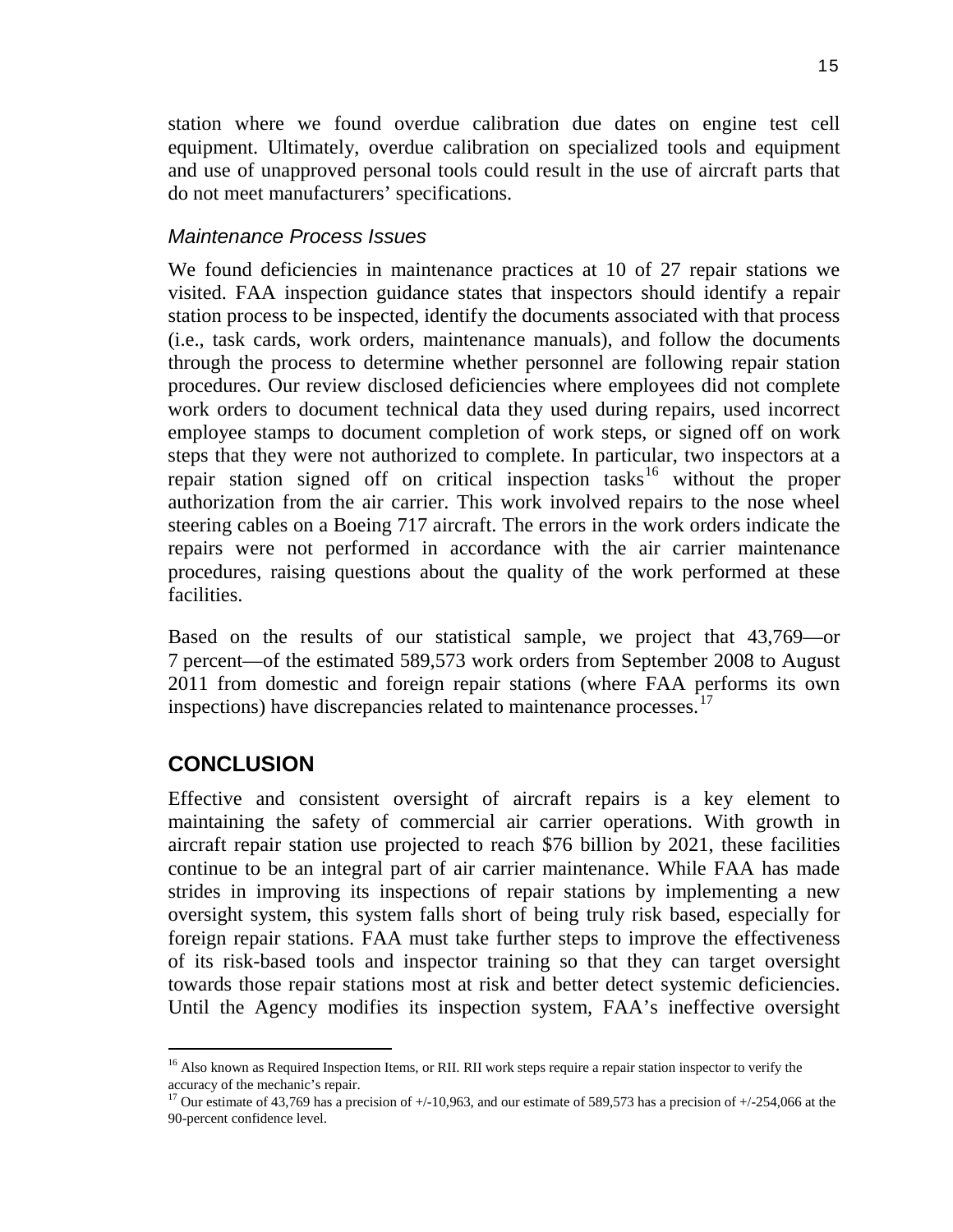station where we found overdue calibration due dates on engine test cell equipment. Ultimately, overdue calibration on specialized tools and equipment and use of unapproved personal tools could result in the use of aircraft parts that do not meet manufacturers' specifications.

#### *Maintenance Process Issues*

We found deficiencies in maintenance practices at 10 of 27 repair stations we visited. FAA inspection guidance states that inspectors should identify a repair station process to be inspected, identify the documents associated with that process (i.e., task cards, work orders, maintenance manuals), and follow the documents through the process to determine whether personnel are following repair station procedures. Our review disclosed deficiencies where employees did not complete work orders to document technical data they used during repairs, used incorrect employee stamps to document completion of work steps, or signed off on work steps that they were not authorized to complete. In particular, two inspectors at a repair station signed off on critical inspection tasks<sup>[16](#page-15-0)</sup> without the proper authorization from the air carrier. This work involved repairs to the nose wheel steering cables on a Boeing 717 aircraft. The errors in the work orders indicate the repairs were not performed in accordance with the air carrier maintenance procedures, raising questions about the quality of the work performed at these facilities.

Based on the results of our statistical sample, we project that 43,769—or 7 percent—of the estimated 589,573 work orders from September 2008 to August 2011 from domestic and foreign repair stations (where FAA performs its own inspections) have discrepancies related to maintenance processes.<sup>[17](#page-15-1)</sup>

# **CONCLUSION**

Effective and consistent oversight of aircraft repairs is a key element to maintaining the safety of commercial air carrier operations. With growth in aircraft repair station use projected to reach \$76 billion by 2021, these facilities continue to be an integral part of air carrier maintenance. While FAA has made strides in improving its inspections of repair stations by implementing a new oversight system, this system falls short of being truly risk based, especially for foreign repair stations. FAA must take further steps to improve the effectiveness of its risk-based tools and inspector training so that they can target oversight towards those repair stations most at risk and better detect systemic deficiencies. Until the Agency modifies its inspection system, FAA's ineffective oversight

<span id="page-15-0"></span><sup>&</sup>lt;sup>16</sup> Also known as Required Inspection Items, or RII. RII work steps require a repair station inspector to verify the accuracy of the mechanic's repair.

<span id="page-15-1"></span><sup>&</sup>lt;sup>17</sup> Our estimate of 43,769 has a precision of  $+/-10,963$ , and our estimate of 589,573 has a precision of  $+/-254,066$  at the 90-percent confidence level.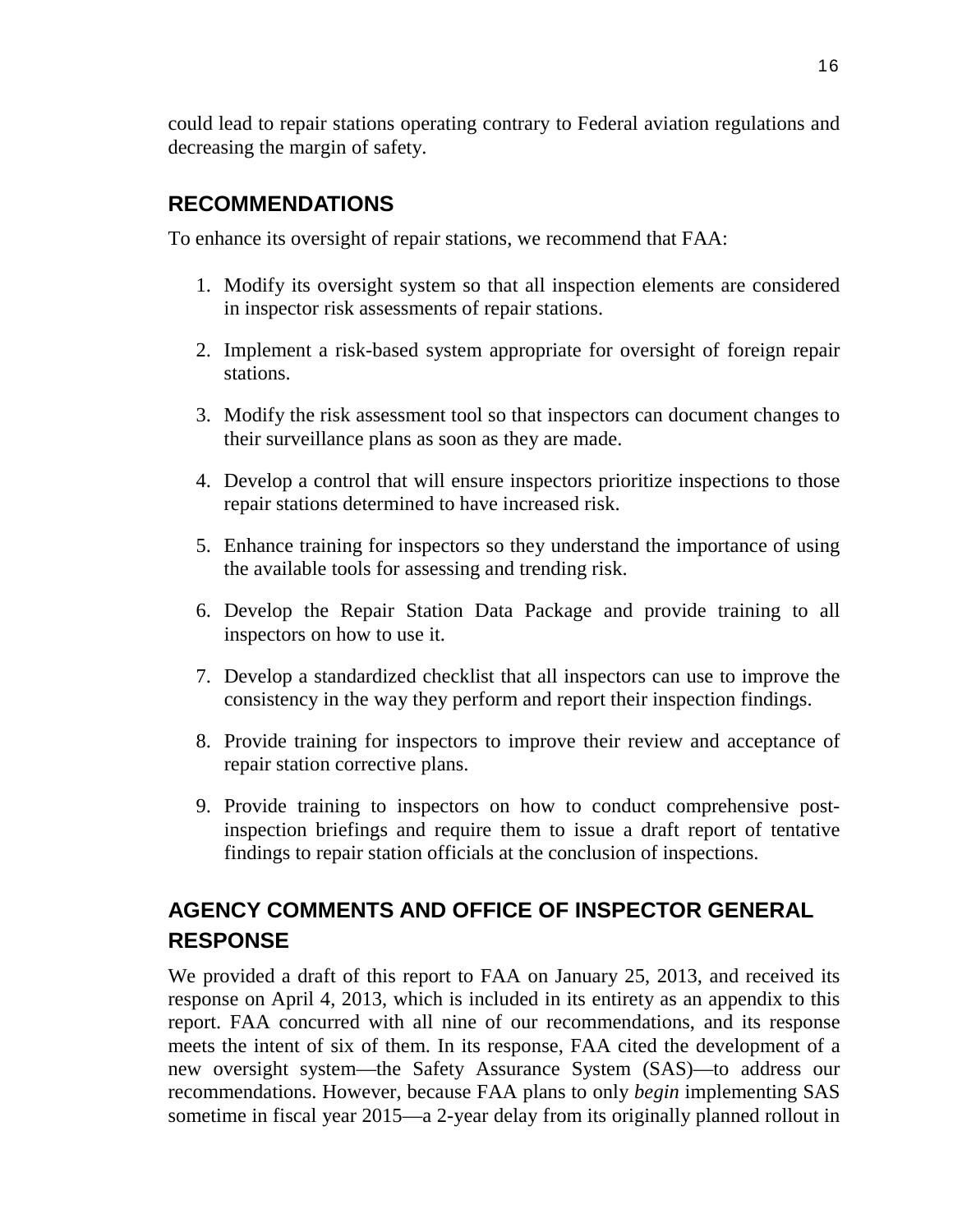could lead to repair stations operating contrary to Federal aviation regulations and decreasing the margin of safety.

# **RECOMMENDATIONS**

To enhance its oversight of repair stations, we recommend that FAA:

- 1. Modify its oversight system so that all inspection elements are considered in inspector risk assessments of repair stations.
- 2. Implement a risk-based system appropriate for oversight of foreign repair stations.
- 3. Modify the risk assessment tool so that inspectors can document changes to their surveillance plans as soon as they are made.
- 4. Develop a control that will ensure inspectors prioritize inspections to those repair stations determined to have increased risk.
- 5. Enhance training for inspectors so they understand the importance of using the available tools for assessing and trending risk.
- 6. Develop the Repair Station Data Package and provide training to all inspectors on how to use it.
- 7. Develop a standardized checklist that all inspectors can use to improve the consistency in the way they perform and report their inspection findings.
- 8. Provide training for inspectors to improve their review and acceptance of repair station corrective plans.
- 9. Provide training to inspectors on how to conduct comprehensive postinspection briefings and require them to issue a draft report of tentative findings to repair station officials at the conclusion of inspections.

# **AGENCY COMMENTS AND OFFICE OF INSPECTOR GENERAL RESPONSE**

We provided a draft of this report to FAA on January 25, 2013, and received its response on April 4, 2013, which is included in its entirety as an appendix to this report. FAA concurred with all nine of our recommendations, and its response meets the intent of six of them. In its response, FAA cited the development of a new oversight system—the Safety Assurance System (SAS)—to address our recommendations. However, because FAA plans to only *begin* implementing SAS sometime in fiscal year 2015—a 2-year delay from its originally planned rollout in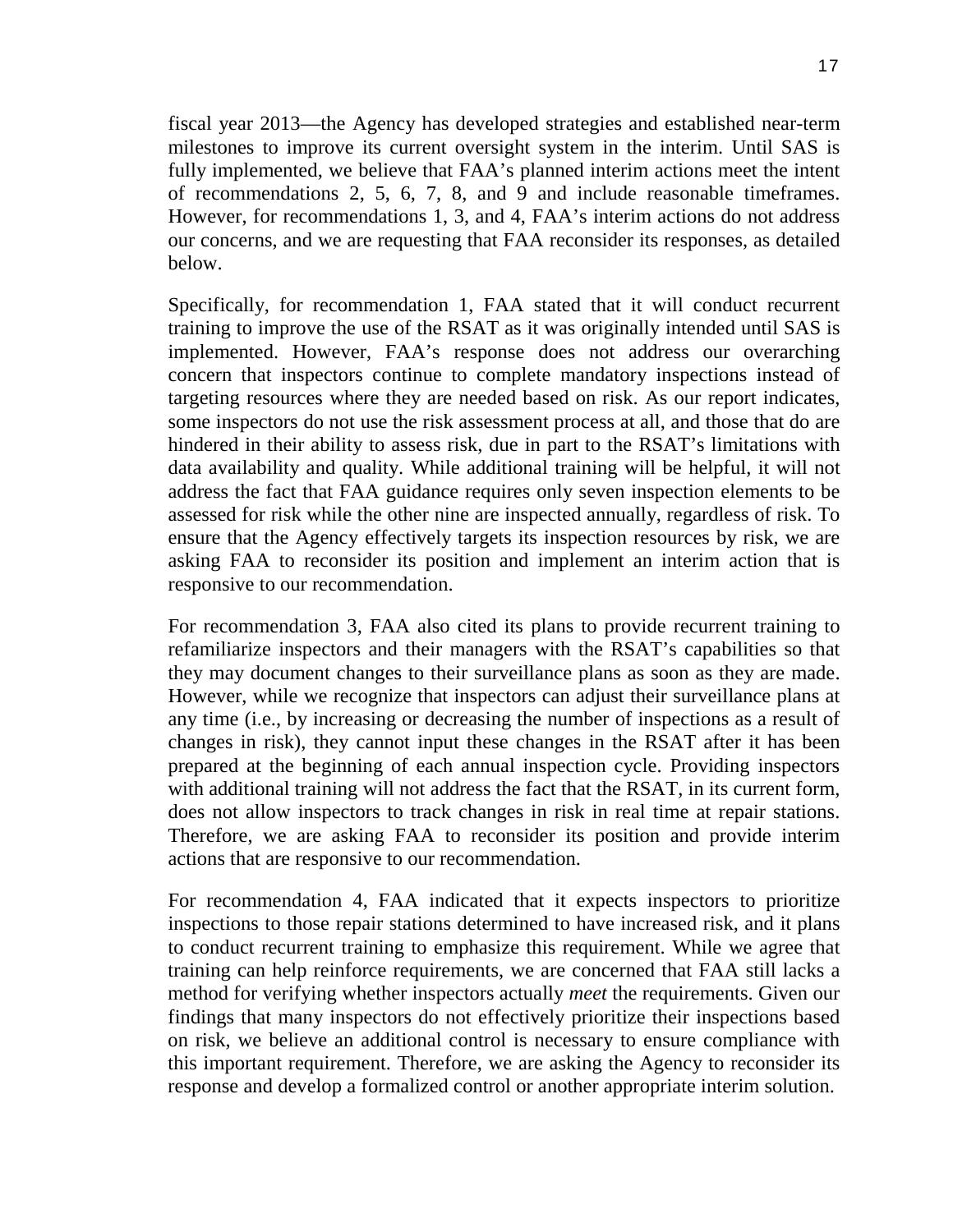fiscal year 2013—the Agency has developed strategies and established near-term milestones to improve its current oversight system in the interim. Until SAS is fully implemented, we believe that FAA's planned interim actions meet the intent of recommendations 2, 5, 6, 7, 8, and 9 and include reasonable timeframes. However, for recommendations 1, 3, and 4, FAA's interim actions do not address our concerns, and we are requesting that FAA reconsider its responses, as detailed below.

Specifically, for recommendation 1, FAA stated that it will conduct recurrent training to improve the use of the RSAT as it was originally intended until SAS is implemented. However, FAA's response does not address our overarching concern that inspectors continue to complete mandatory inspections instead of targeting resources where they are needed based on risk. As our report indicates, some inspectors do not use the risk assessment process at all, and those that do are hindered in their ability to assess risk, due in part to the RSAT's limitations with data availability and quality. While additional training will be helpful, it will not address the fact that FAA guidance requires only seven inspection elements to be assessed for risk while the other nine are inspected annually, regardless of risk. To ensure that the Agency effectively targets its inspection resources by risk, we are asking FAA to reconsider its position and implement an interim action that is responsive to our recommendation.

For recommendation 3, FAA also cited its plans to provide recurrent training to refamiliarize inspectors and their managers with the RSAT's capabilities so that they may document changes to their surveillance plans as soon as they are made. However, while we recognize that inspectors can adjust their surveillance plans at any time (i.e., by increasing or decreasing the number of inspections as a result of changes in risk), they cannot input these changes in the RSAT after it has been prepared at the beginning of each annual inspection cycle. Providing inspectors with additional training will not address the fact that the RSAT, in its current form, does not allow inspectors to track changes in risk in real time at repair stations. Therefore, we are asking FAA to reconsider its position and provide interim actions that are responsive to our recommendation.

For recommendation 4, FAA indicated that it expects inspectors to prioritize inspections to those repair stations determined to have increased risk, and it plans to conduct recurrent training to emphasize this requirement. While we agree that training can help reinforce requirements, we are concerned that FAA still lacks a method for verifying whether inspectors actually *meet* the requirements. Given our findings that many inspectors do not effectively prioritize their inspections based on risk, we believe an additional control is necessary to ensure compliance with this important requirement. Therefore, we are asking the Agency to reconsider its response and develop a formalized control or another appropriate interim solution.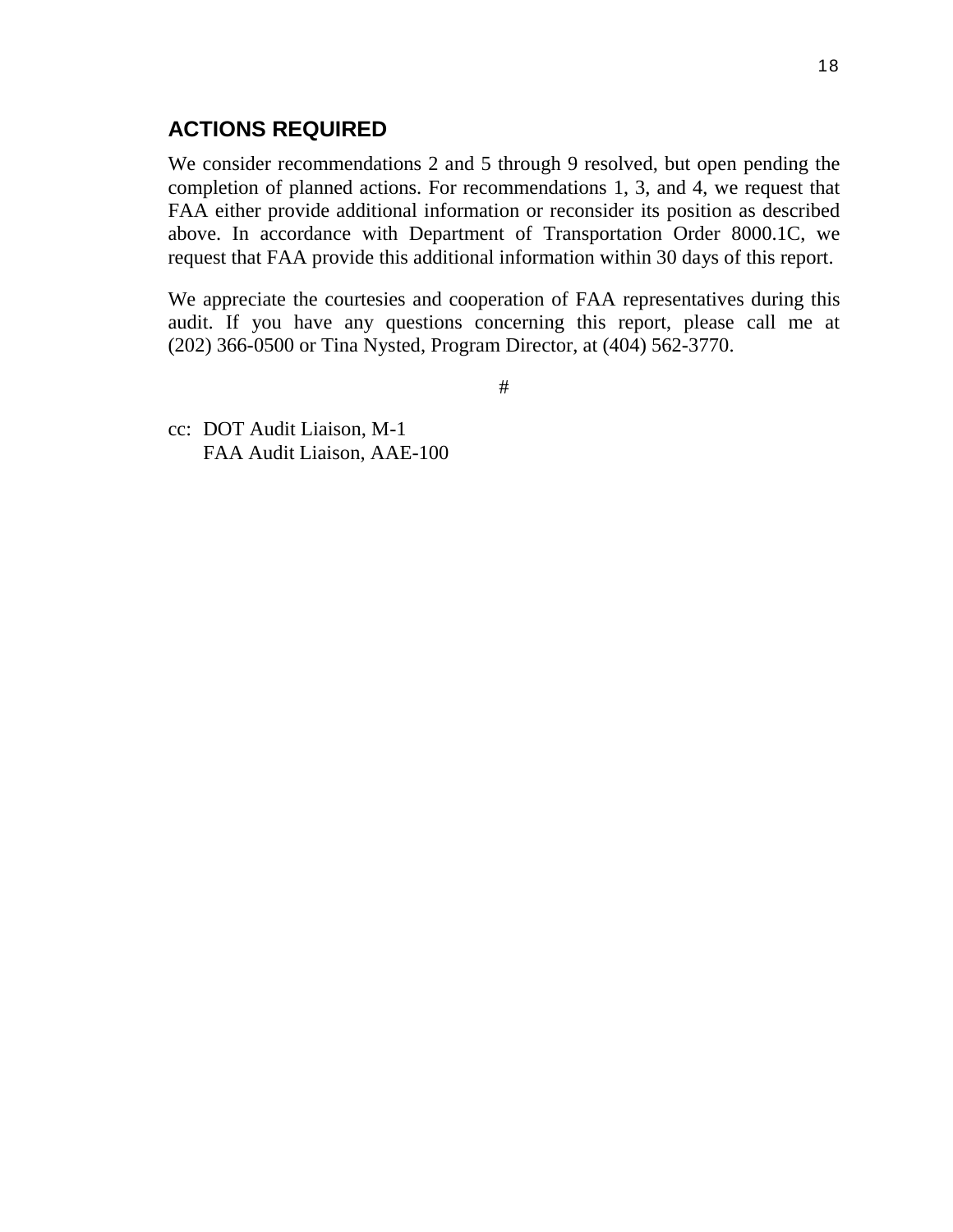# **ACTIONS REQUIRED**

We consider recommendations 2 and 5 through 9 resolved, but open pending the completion of planned actions. For recommendations 1, 3, and 4, we request that FAA either provide additional information or reconsider its position as described above. In accordance with Department of Transportation Order 8000.1C, we request that FAA provide this additional information within 30 days of this report.

We appreciate the courtesies and cooperation of FAA representatives during this audit. If you have any questions concerning this report, please call me at (202) 366-0500 or Tina Nysted, Program Director, at (404) 562-3770.

#

cc: DOT Audit Liaison, M-1 FAA Audit Liaison, AAE-100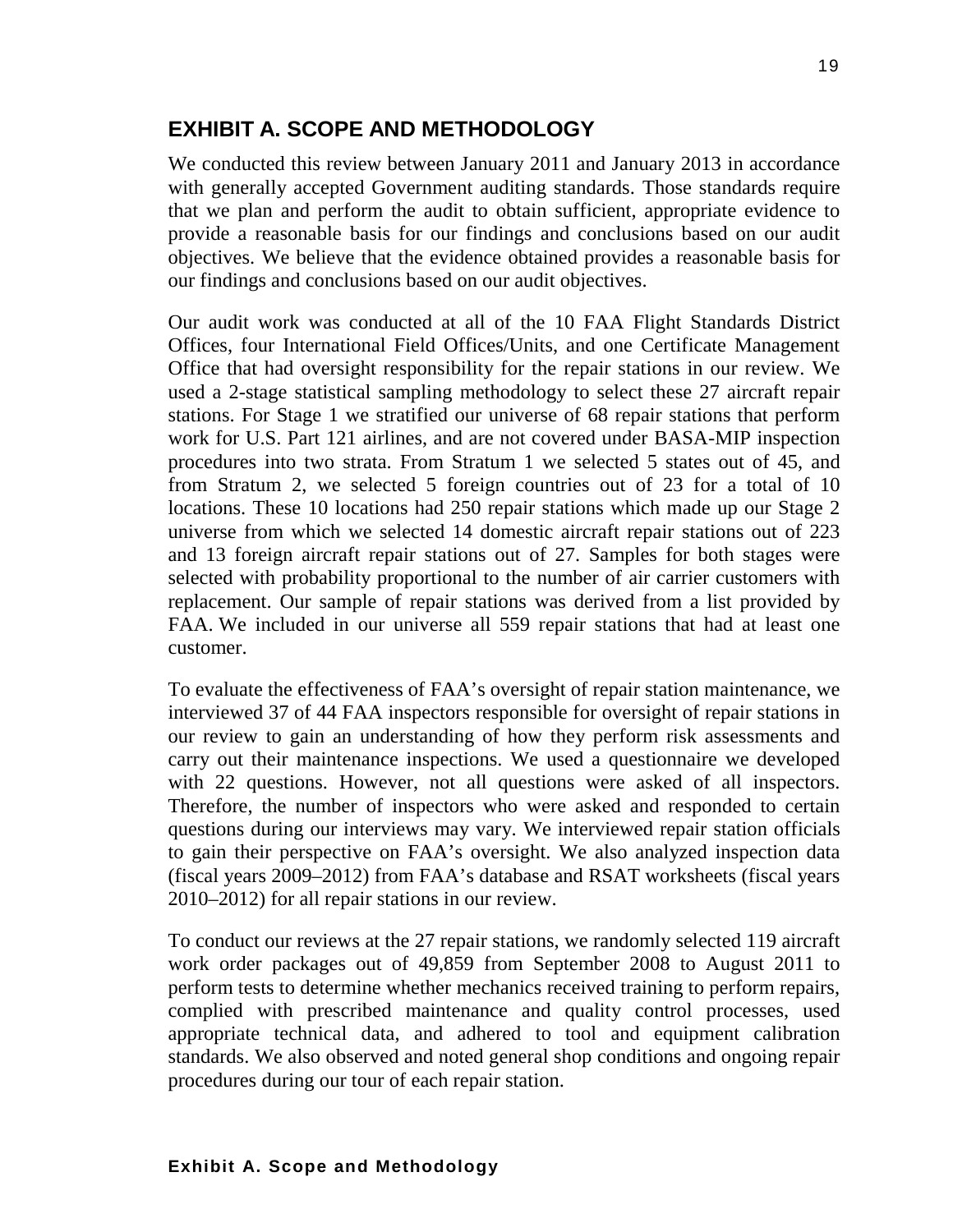# **EXHIBIT A. SCOPE AND METHODOLOGY**

We conducted this review between January 2011 and January 2013 in accordance with generally accepted Government auditing standards. Those standards require that we plan and perform the audit to obtain sufficient, appropriate evidence to provide a reasonable basis for our findings and conclusions based on our audit objectives. We believe that the evidence obtained provides a reasonable basis for our findings and conclusions based on our audit objectives.

Our audit work was conducted at all of the 10 FAA Flight Standards District Offices, four International Field Offices/Units, and one Certificate Management Office that had oversight responsibility for the repair stations in our review. We used a 2-stage statistical sampling methodology to select these 27 aircraft repair stations. For Stage 1 we stratified our universe of 68 repair stations that perform work for U.S. Part 121 airlines, and are not covered under BASA-MIP inspection procedures into two strata. From Stratum 1 we selected 5 states out of 45, and from Stratum 2, we selected 5 foreign countries out of 23 for a total of 10 locations. These 10 locations had 250 repair stations which made up our Stage 2 universe from which we selected 14 domestic aircraft repair stations out of 223 and 13 foreign aircraft repair stations out of 27. Samples for both stages were selected with probability proportional to the number of air carrier customers with replacement. Our sample of repair stations was derived from a list provided by FAA. We included in our universe all 559 repair stations that had at least one customer.

To evaluate the effectiveness of FAA's oversight of repair station maintenance, we interviewed 37 of 44 FAA inspectors responsible for oversight of repair stations in our review to gain an understanding of how they perform risk assessments and carry out their maintenance inspections. We used a questionnaire we developed with 22 questions. However, not all questions were asked of all inspectors. Therefore, the number of inspectors who were asked and responded to certain questions during our interviews may vary. We interviewed repair station officials to gain their perspective on FAA's oversight. We also analyzed inspection data (fiscal years 2009–2012) from FAA's database and RSAT worksheets (fiscal years 2010–2012) for all repair stations in our review.

To conduct our reviews at the 27 repair stations, we randomly selected 119 aircraft work order packages out of 49,859 from September 2008 to August 2011 to perform tests to determine whether mechanics received training to perform repairs, complied with prescribed maintenance and quality control processes, used appropriate technical data, and adhered to tool and equipment calibration standards. We also observed and noted general shop conditions and ongoing repair procedures during our tour of each repair station.

#### **Exhibit A. Scope and Methodology**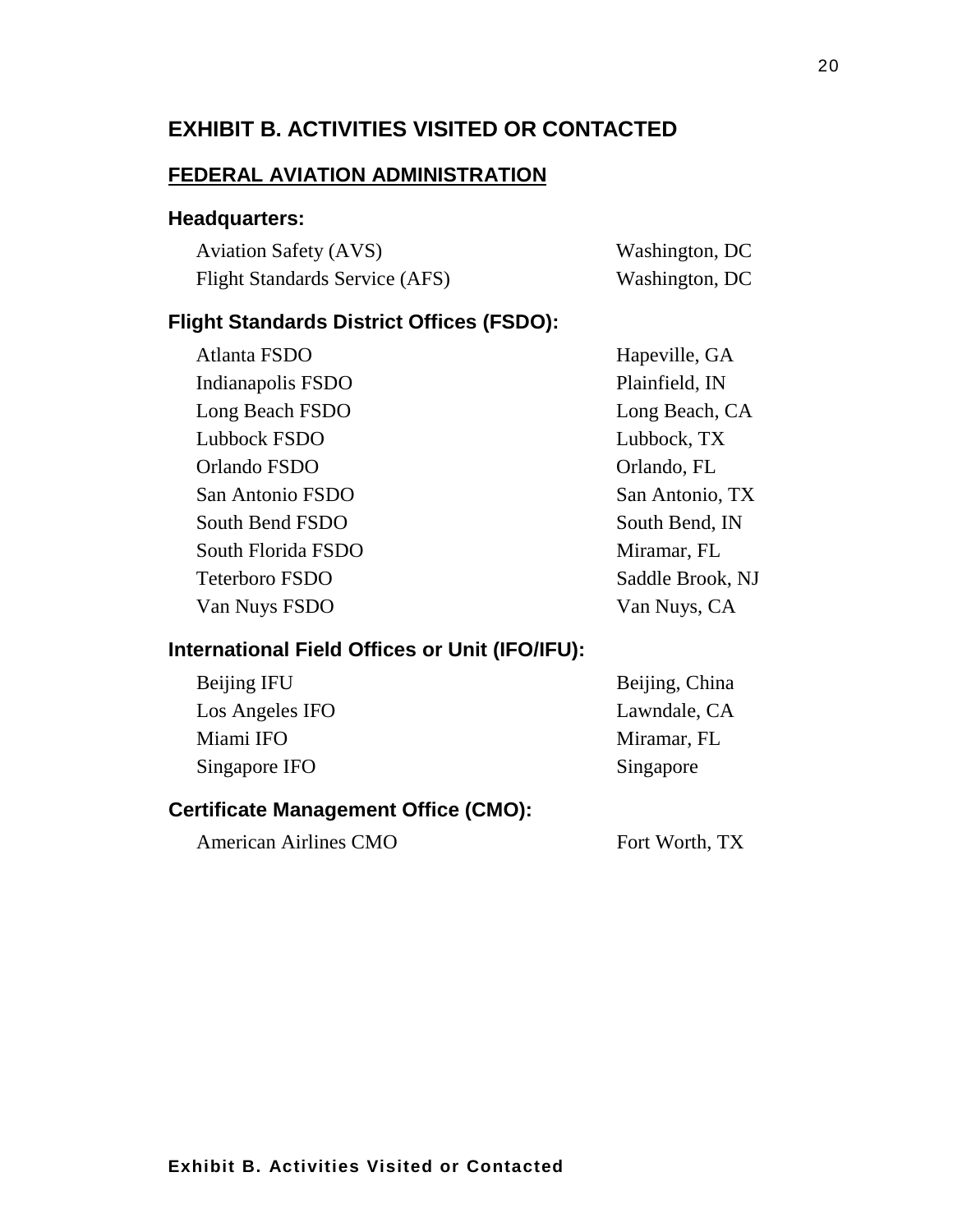# **EXHIBIT B. ACTIVITIES VISITED OR CONTACTED**

#### **FEDERAL AVIATION ADMINISTRATION**

#### **Headquarters:**

| <b>Aviation Safety (AVS)</b>          | Washington, DC |
|---------------------------------------|----------------|
| <b>Flight Standards Service (AFS)</b> | Washington, DC |

#### **Flight Standards District Offices (FSDO):**

| Hapeville, GA    |
|------------------|
| Plainfield, IN   |
| Long Beach, CA   |
| Lubbock, TX      |
| Orlando, FL      |
| San Antonio, TX  |
| South Bend, IN   |
| Miramar, FL      |
| Saddle Brook, NJ |
| Van Nuys, CA     |
|                  |

#### **International Field Offices or Unit (IFO/IFU):**

| Beijing IFU     |  |
|-----------------|--|
| Los Angeles IFO |  |
| Miami IFO       |  |
| Singapore IFO   |  |

Beijing, China Lawndale, CA Miramar, FL Singapore

## **Certificate Management Office (CMO):**

American Airlines CMO Fort Worth, TX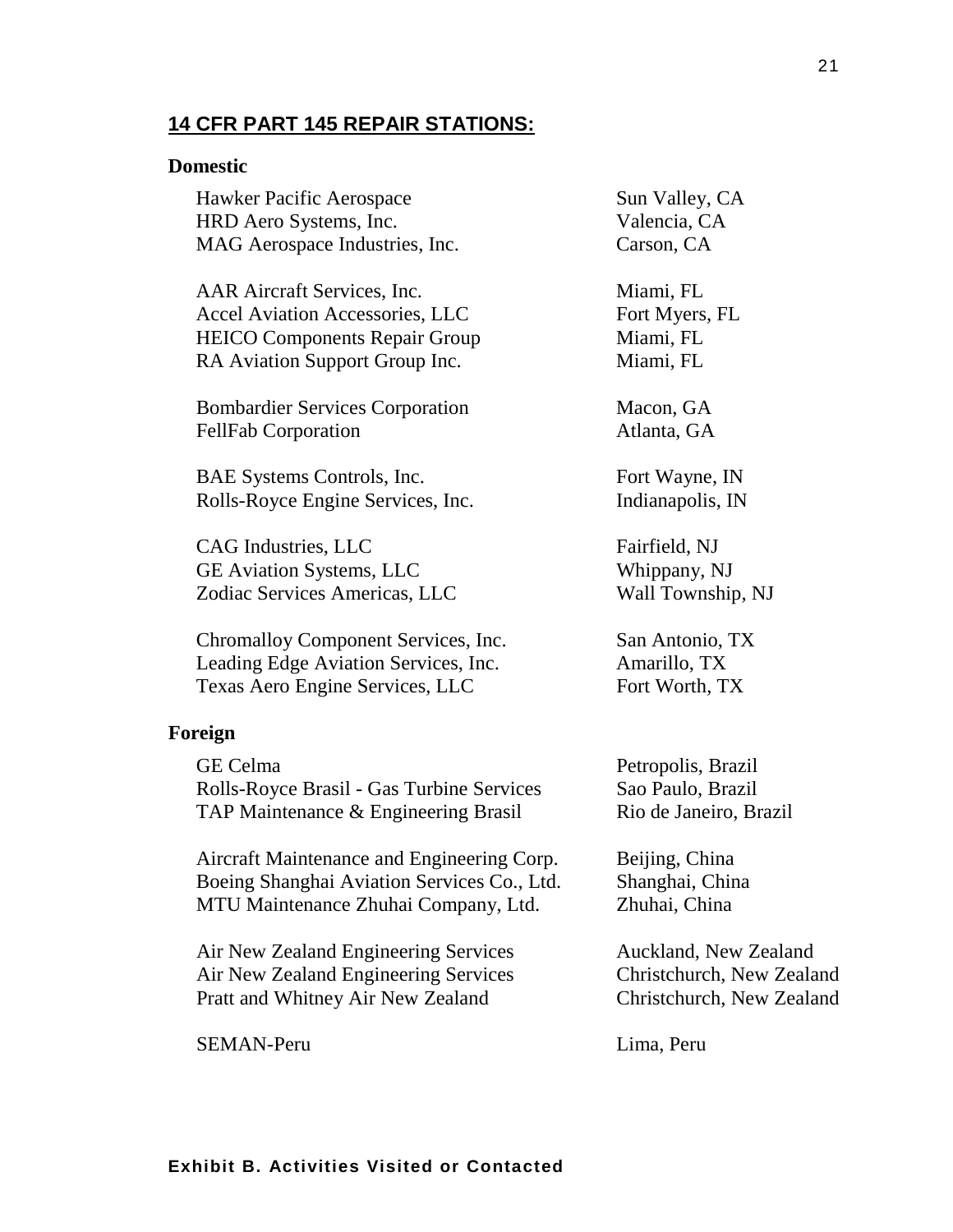#### **14 CFR PART 145 REPAIR STATIONS:**

#### **Domestic**

Hawker Pacific Aerospace Sun Valley, CA HRD Aero Systems, Inc. Valencia, CA MAG Aerospace Industries, Inc. Carson, CA

AAR Aircraft Services, Inc. Miami, FL Accel Aviation Accessories, LLC Fort Myers, FL HEICO Components Repair Group Miami, FL RA Aviation Support Group Inc. Miami, FL

Bombardier Services Corporation Macon, GA FellFab Corporation Atlanta, GA

BAE Systems Controls, Inc. Fort Wayne, IN Rolls-Royce Engine Services, Inc. [Indianapolis, IN]

CAG Industries, LLC Fairfield, NJ GE Aviation Systems, LLC Whippany, NJ Zodiac Services Americas, LLC Wall Township, NJ

Chromalloy Component Services, Inc. San Antonio, TX Leading Edge Aviation Services, Inc. Amarillo, TX Texas Aero Engine Services, LLC Fort Worth, TX

#### **Foreign**

GE Celma Petropolis, Brazil Rolls-Royce Brasil - Gas Turbine Services Sao Paulo, Brazil TAP Maintenance & Engineering Brasil Rio de Janeiro, Brazil

Aircraft Maintenance and Engineering Corp. Beijing, China Boeing Shanghai Aviation Services Co., Ltd. Shanghai, China MTU Maintenance Zhuhai Company, Ltd. Zhuhai, China

Air New Zealand Engineering Services Auckland, New Zealand Air New Zealand Engineering Services Christchurch, New Zealand Pratt and Whitney Air New Zealand Christchurch, New Zealand

SEMAN-Peru Lima, Peru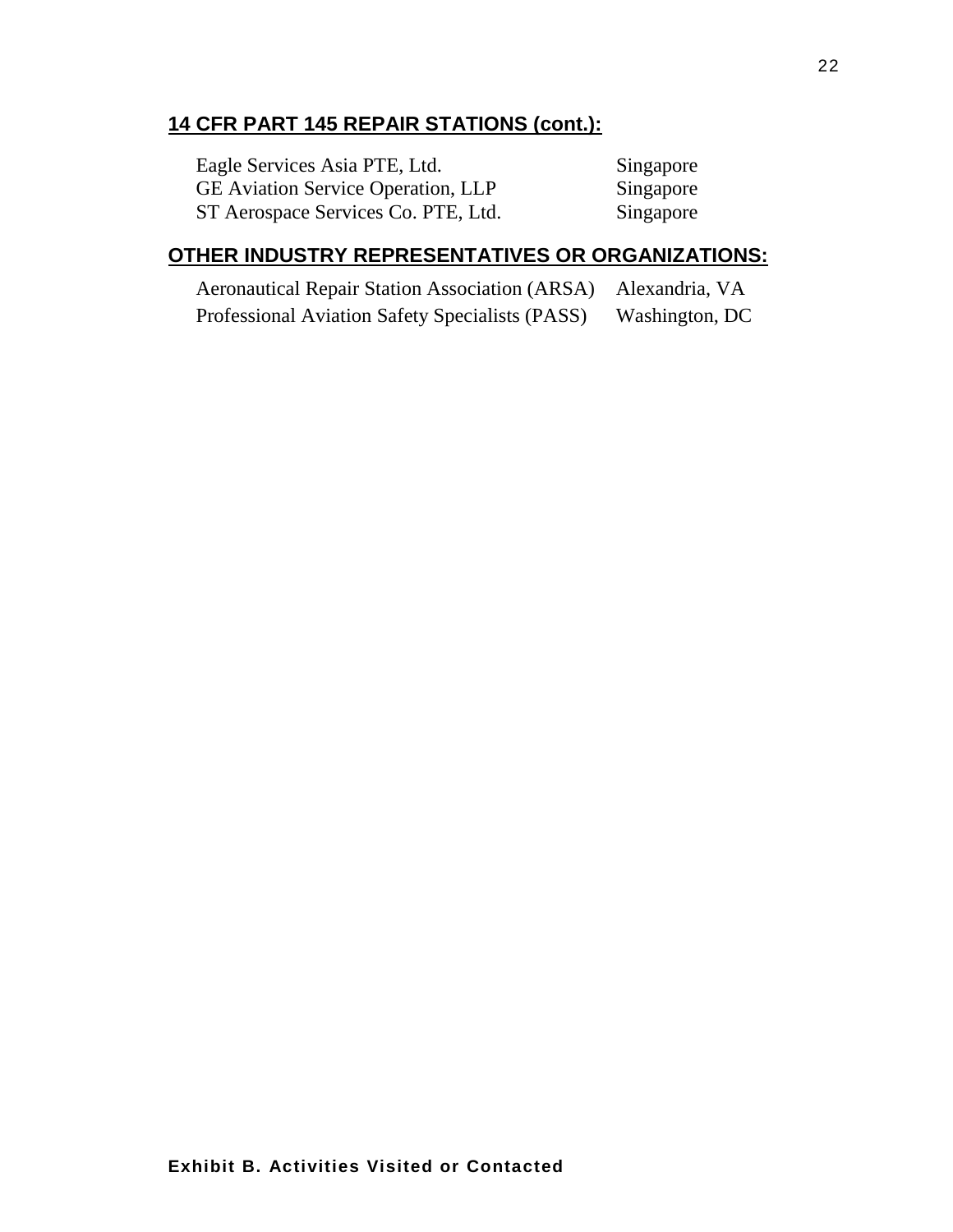# **14 CFR PART 145 REPAIR STATIONS (cont.):**

| Eagle Services Asia PTE, Ltd.             | Singapore |
|-------------------------------------------|-----------|
| <b>GE</b> Aviation Service Operation, LLP | Singapore |
| ST Aerospace Services Co. PTE, Ltd.       | Singapore |

# **OTHER INDUSTRY REPRESENTATIVES OR ORGANIZATIONS:**

| Aeronautical Repair Station Association (ARSA) Alexandria, VA |                |
|---------------------------------------------------------------|----------------|
| Professional Aviation Safety Specialists (PASS)               | Washington, DC |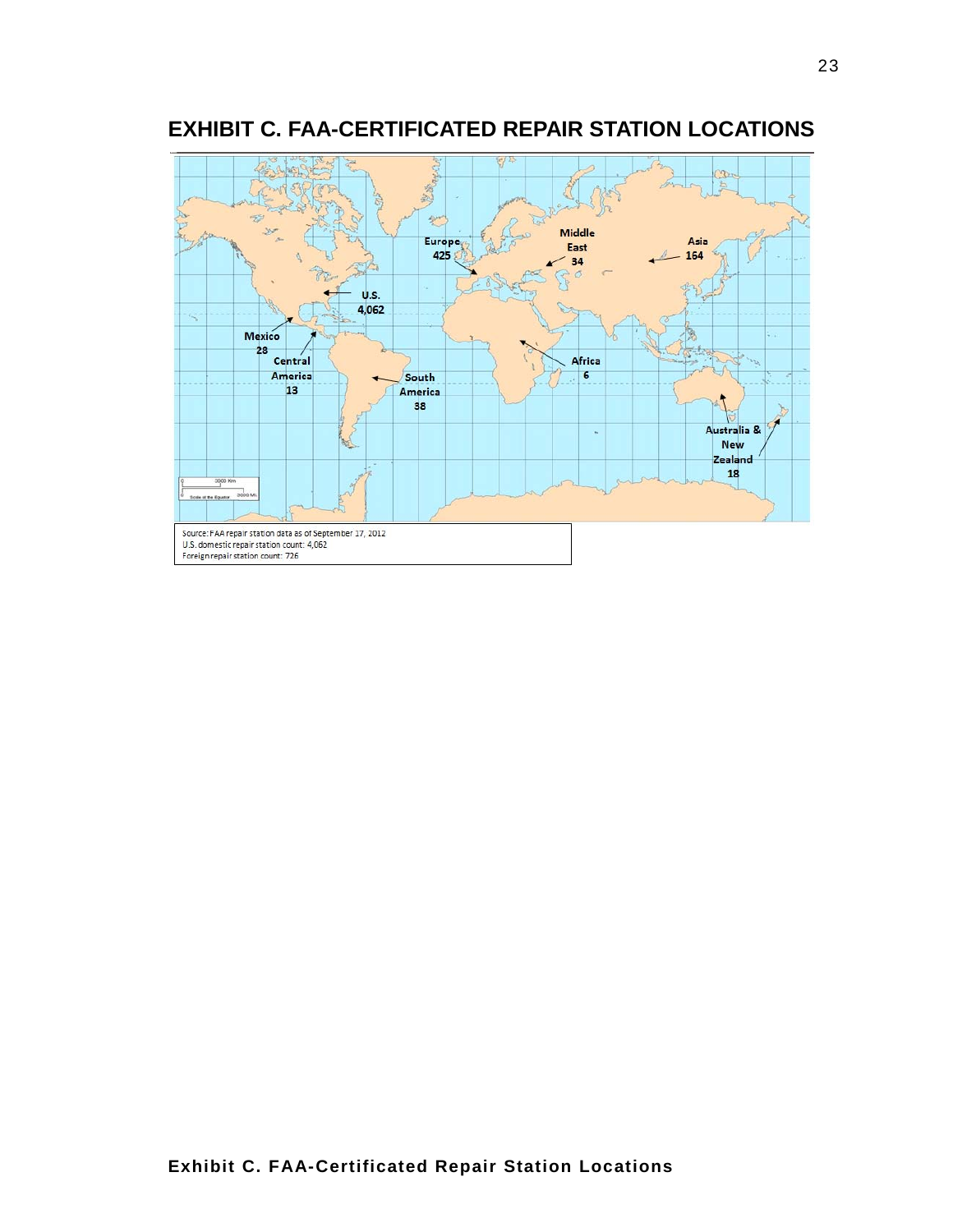

# **EXHIBIT C. FAA-CERTIFICATED REPAIR STATION LOCATIONS**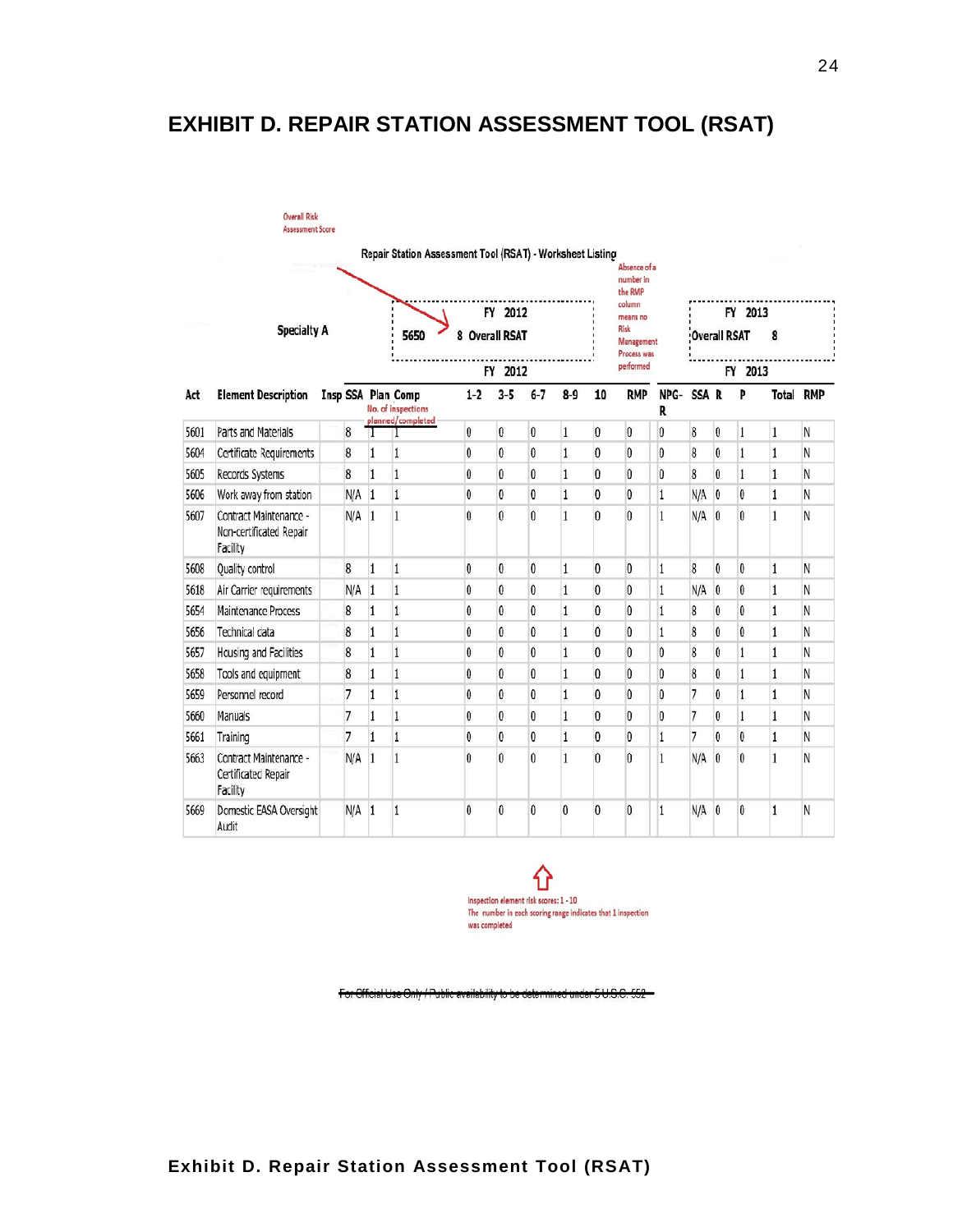# **EXHIBIT D. REPAIR STATION ASSESSMENT TOOL (RSAT)**

|      | <b>Overall Risk</b><br><b>Assessment Score</b>                |  |         |                                                           |                                          |              |                   |              |              |                                   |                                      |                          |         |                |              |              |                  |  |
|------|---------------------------------------------------------------|--|---------|-----------------------------------------------------------|------------------------------------------|--------------|-------------------|--------------|--------------|-----------------------------------|--------------------------------------|--------------------------|---------|----------------|--------------|--------------|------------------|--|
|      |                                                               |  |         | Repair Station Assessment Tool (RSAT) - Worksheet Listing |                                          |              |                   |              |              |                                   | Absence of a<br>number in<br>the RMP |                          |         |                |              |              |                  |  |
|      |                                                               |  |         |                                                           |                                          |              | FY 2012           |              |              |                                   | column<br>means no                   |                          |         |                | FY 2013      |              |                  |  |
|      | <b>Specialty A</b>                                            |  |         |                                                           | 5650<br>8 Overall RSAT                   |              |                   |              |              | Risk<br>Management<br>Process was |                                      | <b>Overall RSAT</b><br>8 |         |                |              |              |                  |  |
|      |                                                               |  |         |                                                           |                                          | FY 2012      |                   |              |              |                                   | performed                            |                          | FY 2013 |                |              |              |                  |  |
| Act  | <b>Element Description</b>                                    |  |         |                                                           | Insp SSA Plan Comp<br>No. of inspections | $1-2$        | $3 - 5$           | $6 - 7$      | $8 - 9$      | 10                                | <b>RMP</b>                           | NPG-<br>R                | SSA R   |                | Þ            |              | <b>Total RMP</b> |  |
| 5601 | Parts and Materials                                           |  | 8       | 1                                                         | planned/completed                        | 0            | $\bf{0}$          | 0            | $\mathbf{1}$ | 0                                 | $\theta$                             | $\mathbf{0}$             | 8       | $\mathbf{0}$   | 1            | 1            | Ν                |  |
| 5604 | Certificate Requirements                                      |  | 8       | 1                                                         | 1                                        | $\mathbf{0}$ | $\mathbf{0}$      | $\theta$     | $\mathbf{1}$ | 0                                 | $\theta$                             | $\mathbf{0}$             | 8       | $\mathbf{0}$   | 1            | $\mathbf{1}$ | Ν                |  |
| 5605 | Records Systems                                               |  | 8       | $\mathbf{1}$                                              | 1                                        | $\mathbf{0}$ | $\mathsf{\Omega}$ | $\theta$     | $\mathbf{1}$ | $\mathbf{v}$                      | $\theta$                             | $\mathbf{v}$             | 8       | $\theta$       | $\mathbf{1}$ | 1            | N                |  |
| 5606 | Work away from station                                        |  | N/A     | $\vert$ 1                                                 | $\mathbf{1}$                             | 0            | $\mathbf{0}$      | 0            | $\,1\,$      | $\mathbf{0}$                      | $\theta$                             | $\mathbf{1}$             | N/A     | $\overline{0}$ | 0            | $\mathbf{1}$ | Ν                |  |
| 5607 | Contract Maintenance -<br>Non-certificated Repair<br>Facility |  | $N/A$ 1 |                                                           | $\mathbf{1}$                             | $\mathbf{0}$ | $\mathbf{0}$      | $\theta$     | $\mathbf{1}$ | $\mathbf{v}$                      | $\theta$                             | 1                        | N/A     | $\theta$       | $\mathbf{0}$ | $\mathbf{1}$ | N                |  |
| 5608 | Quality control                                               |  | 8       | 1                                                         | 1                                        | $\mathbf{0}$ | $\theta$          | $\theta$     | $\mathbf{1}$ | $\theta$                          | $\theta$                             | 1                        | 8       | $\theta$       | 0            | $\mathbf{1}$ | N                |  |
| 5618 | Air Carrier requirements                                      |  | N/A     | $\mathbf{1}$                                              | 1                                        | $\mathbf{0}$ | $\mathbf{0}$      | $\mathbf{0}$ | $\mathbf{1}$ | $\mathbf{0}$                      | $\theta$                             | 1                        | N/A     | $\mathbf{0}$   | 0            | $\mathbf{1}$ | Ν                |  |
| 5654 | Maintenance Process                                           |  | 8       | 1                                                         | 1                                        | $\mathbf{0}$ | $\mathbf{0}$      | $\mathbf{0}$ | $\mathbf{1}$ | $\mathbf{0}$                      | $\theta$                             | 1                        | 8       | $\mathbf{0}$   | 0            | $\mathbf{1}$ | N                |  |
| 5656 | Technical data                                                |  | 8       | 1                                                         | $\mathbf{1}$                             | $\mathbf{0}$ | $\mathbf{0}$      | 0            | $\mathbf{1}$ | $\mathbf{0}$                      | $\mathbf{0}$                         | 1                        | 8       | $\theta$       | 0            | 1            | N                |  |
| 5657 | Housing and Facilities                                        |  | 8       | 1                                                         | $\mathbf{1}$                             | $\mathbf{0}$ | $\mathbf{0}$      | $\theta$     | $\mathbf{1}$ | $\mathbf{0}$                      | $\theta$                             | $\mathbf{0}$             | 8       | $\mathbf{0}$   | 1            | $\mathbf{1}$ | N                |  |
| 5658 | Tools and equipment                                           |  | 8       | 1                                                         | 1                                        | $\mathbf{0}$ | $\mathbf{0}$      | 0            | $\mathbf{1}$ | $\theta$                          | $\theta$                             | 0                        | 8       | $\mathbf{0}$   | 1            | $\mathbf{1}$ | Ν                |  |
| 5659 | Personnel record                                              |  | 7       | 1                                                         | $\mathbf{1}$                             | 0            | $\mathbf{0}$      | $\mathbf{0}$ | $\mathbf{1}$ | $\mathbf{0}$                      | $\mathbf{0}$                         | 0                        | 7       | $\mathbf{0}$   | ı            | 1            | N                |  |
| 5660 | Manuals                                                       |  | 7       | 1                                                         | 1                                        | 0            | 0                 | 0            | $\mathbf{1}$ | 0                                 | $\mathbf{0}$                         | 0                        | 7       | $\mathbf{0}$   | $\mathbf{1}$ | $\mathbf{1}$ | Ν                |  |
| 5661 | Training                                                      |  | 7       | $\mathbf{1}$                                              | $\mathbf{1}$                             | 0            | $\bf{0}$          | 0            | $\mathbf{1}$ | 0                                 | $\mathbf{0}$                         | $\mathbf{1}$             | 7       | $\mathbf{0}$   | 0            | $\mathbf{1}$ | N                |  |
| 5663 | Contract Maintenance -<br>Certificated Repair<br>Facility     |  | N/A     | $\mathbf{1}$                                              | $\mathbf{1}$                             | $\mathbf{0}$ | $\mathbf{0}$      | $\theta$     | $\mathbf{1}$ | $\mathbf{0}$                      | $\theta$                             | $\mathbf{1}$             | N/A     | $\theta$       | 0            | $\mathbf{1}$ | Ν                |  |
| 5669 | Domestic EASA Oversight<br>Audit                              |  | $N/A$ 1 |                                                           | 1                                        | 0            | 0                 | 0            | $\bf{0}$     | 0                                 | $\theta$                             | 1                        | N/A     | $\overline{0}$ | 0            | 1            | Ν                |  |

⇧

Inspection element risk scores: 1 - 10 The number in each scoring range indicates that 1 inspection was completed

For Official Use Only / Public availability to be determined under 5 U.S.C. 552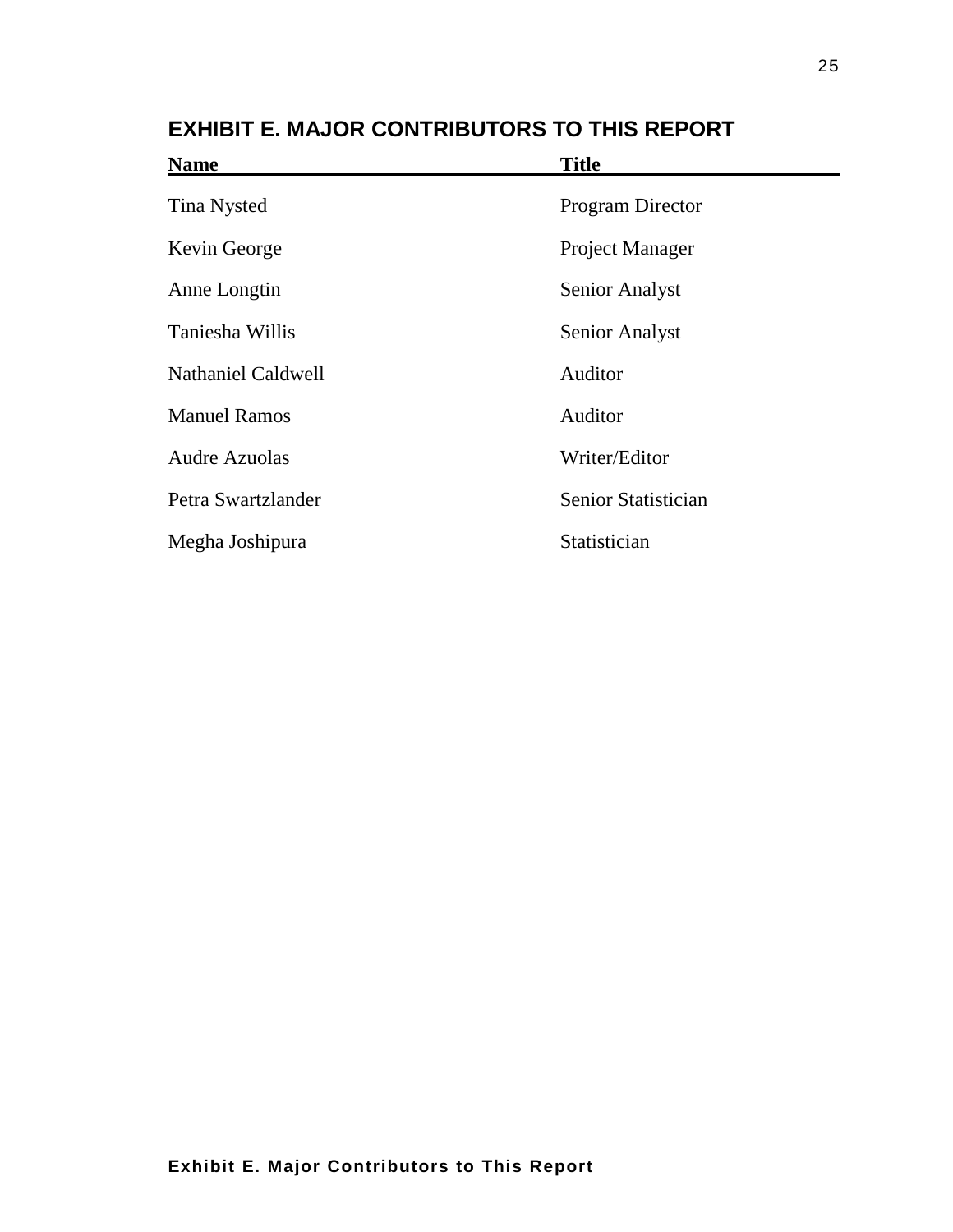| <b>Name</b>               | <b>Title</b>           |
|---------------------------|------------------------|
| <b>Tina Nysted</b>        | Program Director       |
| Kevin George              | <b>Project Manager</b> |
| Anne Longtin              | <b>Senior Analyst</b>  |
| Taniesha Willis           | Senior Analyst         |
| <b>Nathaniel Caldwell</b> | Auditor                |
| <b>Manuel Ramos</b>       | Auditor                |
| <b>Audre Azuolas</b>      | Writer/Editor          |
| Petra Swartzlander        | Senior Statistician    |
| Megha Joshipura           | Statistician           |
|                           |                        |

**EXHIBIT E. MAJOR CONTRIBUTORS TO THIS REPORT**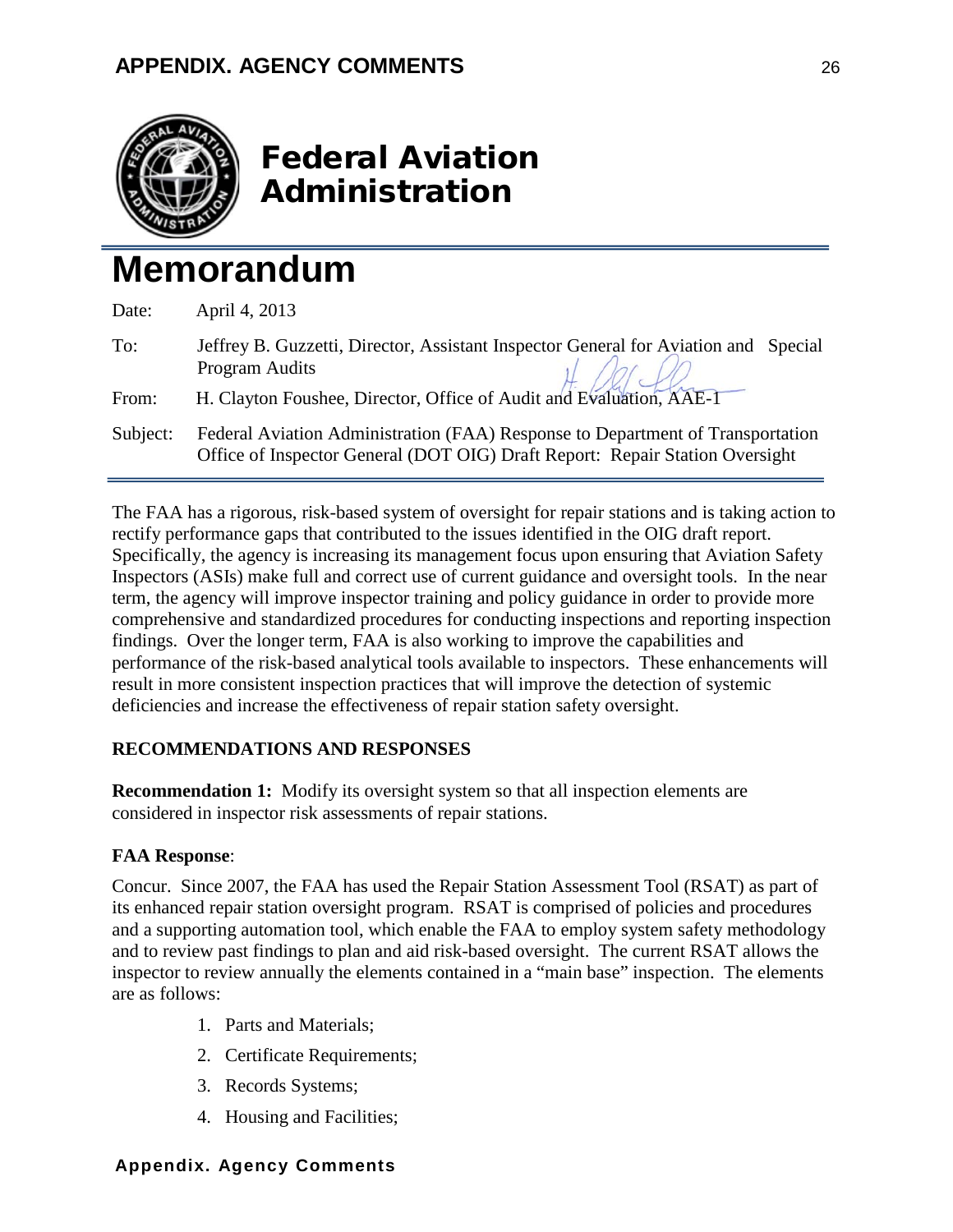

# Federal Aviation Administration

# **Memorandum**

| Date:    | April 4, 2013                                                                                                                                                                |
|----------|------------------------------------------------------------------------------------------------------------------------------------------------------------------------------|
| To:      | Jeffrey B. Guzzetti, Director, Assistant Inspector General for Aviation and Special<br>Program Audits<br>H. Clayton Foushee, Director, Office of Audit and Evaluation, AAE-1 |
| From:    |                                                                                                                                                                              |
| Subject: | Federal Aviation Administration (FAA) Response to Department of Transportation<br>Office of Inspector General (DOT OIG) Draft Report: Repair Station Oversight               |

The FAA has a rigorous, risk-based system of oversight for repair stations and is taking action to rectify performance gaps that contributed to the issues identified in the OIG draft report. Specifically, the agency is increasing its management focus upon ensuring that Aviation Safety Inspectors (ASIs) make full and correct use of current guidance and oversight tools. In the near term, the agency will improve inspector training and policy guidance in order to provide more comprehensive and standardized procedures for conducting inspections and reporting inspection findings. Over the longer term, FAA is also working to improve the capabilities and performance of the risk-based analytical tools available to inspectors. These enhancements will result in more consistent inspection practices that will improve the detection of systemic deficiencies and increase the effectiveness of repair station safety oversight.

### **RECOMMENDATIONS AND RESPONSES**

**Recommendation 1:** Modify its oversight system so that all inspection elements are considered in inspector risk assessments of repair stations.

#### **FAA Response**:

Concur. Since 2007, the FAA has used the Repair Station Assessment Tool (RSAT) as part of its enhanced repair station oversight program. RSAT is comprised of policies and procedures and a supporting automation tool, which enable the FAA to employ system safety methodology and to review past findings to plan and aid risk-based oversight. The current RSAT allows the inspector to review annually the elements contained in a "main base" inspection. The elements are as follows:

- 1. Parts and Materials;
- 2. Certificate Requirements;
- 3. Records Systems;
- 4. Housing and Facilities;

### **Appendix. Agency Comments**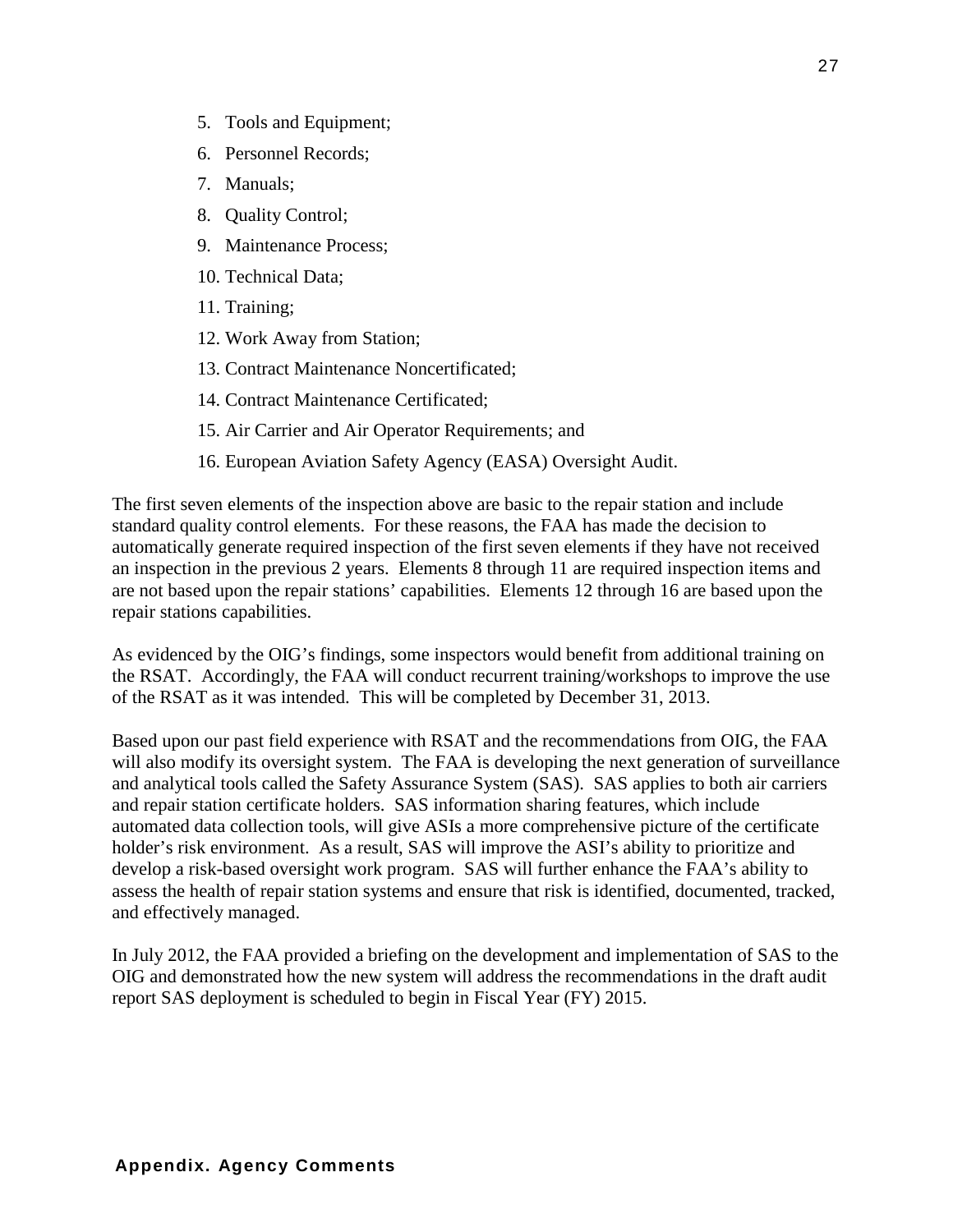- 5. Tools and Equipment;
- 6. Personnel Records;
- 7. Manuals;
- 8. Quality Control;
- 9. Maintenance Process;
- 10. Technical Data;
- 11. Training;
- 12. Work Away from Station;
- 13. Contract Maintenance Noncertificated;
- 14. Contract Maintenance Certificated;
- 15. Air Carrier and Air Operator Requirements; and
- 16. European Aviation Safety Agency (EASA) Oversight Audit.

The first seven elements of the inspection above are basic to the repair station and include standard quality control elements. For these reasons, the FAA has made the decision to automatically generate required inspection of the first seven elements if they have not received an inspection in the previous 2 years. Elements 8 through 11 are required inspection items and are not based upon the repair stations' capabilities. Elements 12 through 16 are based upon the repair stations capabilities.

As evidenced by the OIG's findings, some inspectors would benefit from additional training on the RSAT. Accordingly, the FAA will conduct recurrent training/workshops to improve the use of the RSAT as it was intended. This will be completed by December 31, 2013.

Based upon our past field experience with RSAT and the recommendations from OIG, the FAA will also modify its oversight system. The FAA is developing the next generation of surveillance and analytical tools called the Safety Assurance System (SAS). SAS applies to both air carriers and repair station certificate holders. SAS information sharing features, which include automated data collection tools, will give ASIs a more comprehensive picture of the certificate holder's risk environment. As a result, SAS will improve the ASI's ability to prioritize and develop a risk-based oversight work program. SAS will further enhance the FAA's ability to assess the health of repair station systems and ensure that risk is identified, documented, tracked, and effectively managed.

In July 2012, the FAA provided a briefing on the development and implementation of SAS to the OIG and demonstrated how the new system will address the recommendations in the draft audit report SAS deployment is scheduled to begin in Fiscal Year (FY) 2015.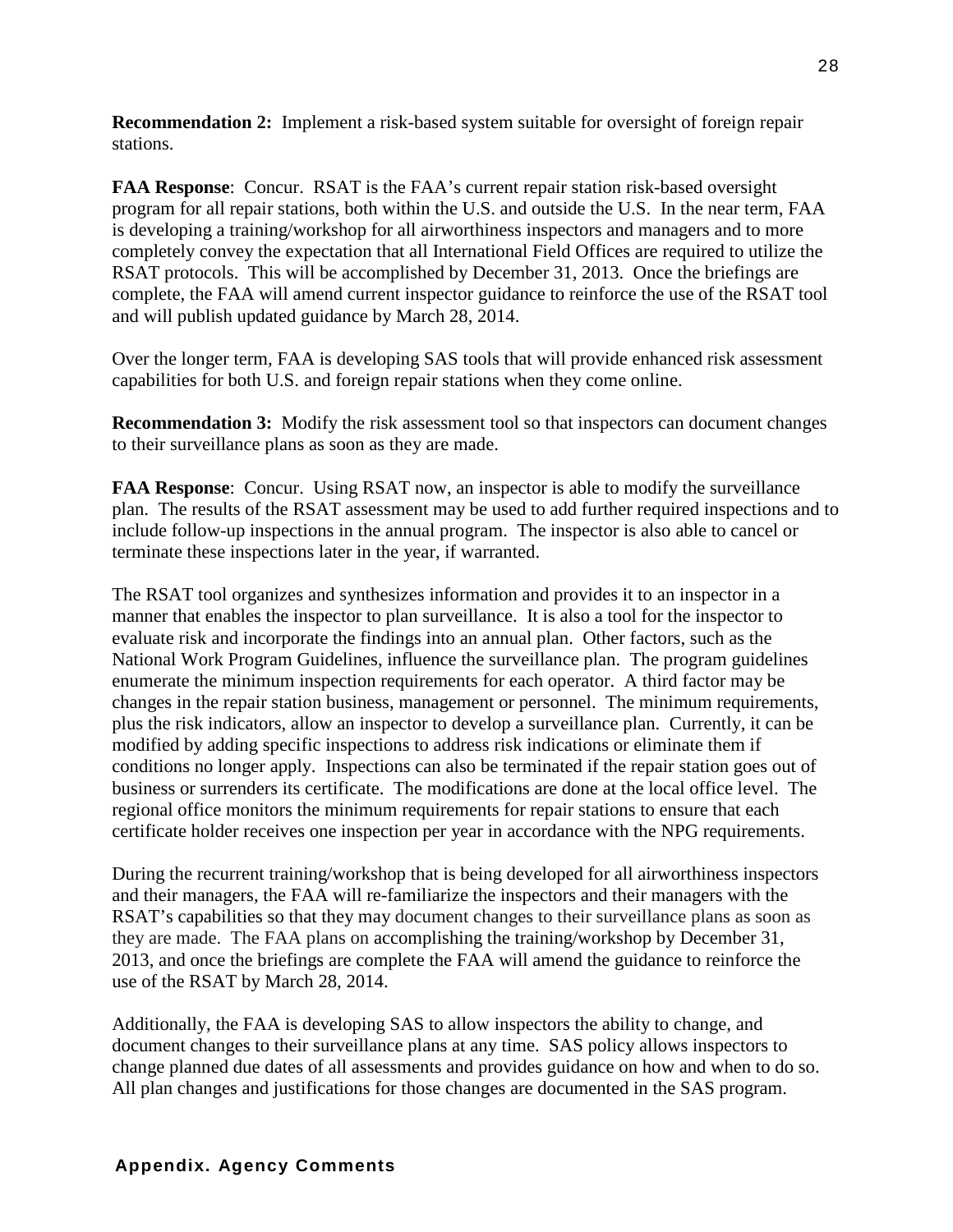**Recommendation 2:** Implement a risk-based system suitable for oversight of foreign repair stations.

**FAA Response**: Concur. RSAT is the FAA's current repair station risk-based oversight program for all repair stations, both within the U.S. and outside the U.S. In the near term, FAA is developing a training/workshop for all airworthiness inspectors and managers and to more completely convey the expectation that all International Field Offices are required to utilize the RSAT protocols. This will be accomplished by December 31, 2013. Once the briefings are complete, the FAA will amend current inspector guidance to reinforce the use of the RSAT tool and will publish updated guidance by March 28, 2014.

Over the longer term, FAA is developing SAS tools that will provide enhanced risk assessment capabilities for both U.S. and foreign repair stations when they come online.

**Recommendation 3:** Modify the risk assessment tool so that inspectors can document changes to their surveillance plans as soon as they are made.

**FAA Response**: Concur. Using RSAT now, an inspector is able to modify the surveillance plan. The results of the RSAT assessment may be used to add further required inspections and to include follow-up inspections in the annual program. The inspector is also able to cancel or terminate these inspections later in the year, if warranted.

The RSAT tool organizes and synthesizes information and provides it to an inspector in a manner that enables the inspector to plan surveillance. It is also a tool for the inspector to evaluate risk and incorporate the findings into an annual plan. Other factors, such as the National Work Program Guidelines, influence the surveillance plan. The program guidelines enumerate the minimum inspection requirements for each operator. A third factor may be changes in the repair station business, management or personnel. The minimum requirements, plus the risk indicators, allow an inspector to develop a surveillance plan. Currently, it can be modified by adding specific inspections to address risk indications or eliminate them if conditions no longer apply. Inspections can also be terminated if the repair station goes out of business or surrenders its certificate. The modifications are done at the local office level. The regional office monitors the minimum requirements for repair stations to ensure that each certificate holder receives one inspection per year in accordance with the NPG requirements.

During the recurrent training/workshop that is being developed for all airworthiness inspectors and their managers, the FAA will re-familiarize the inspectors and their managers with the RSAT's capabilities so that they may document changes to their surveillance plans as soon as they are made. The FAA plans on accomplishing the training/workshop by December 31, 2013, and once the briefings are complete the FAA will amend the guidance to reinforce the use of the RSAT by March 28, 2014.

Additionally, the FAA is developing SAS to allow inspectors the ability to change, and document changes to their surveillance plans at any time. SAS policy allows inspectors to change planned due dates of all assessments and provides guidance on how and when to do so. All plan changes and justifications for those changes are documented in the SAS program.

#### **Appendix. Agency Comments**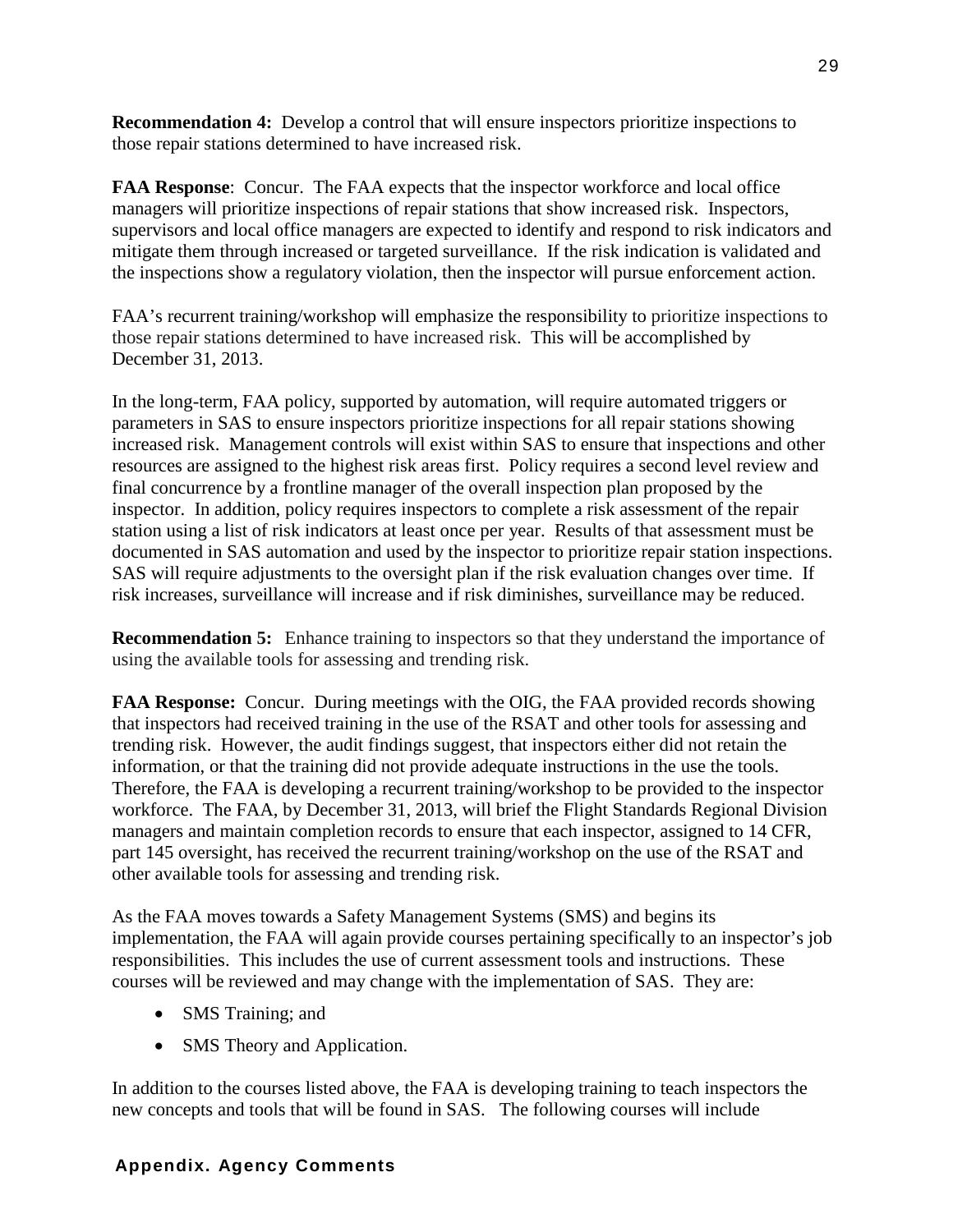**Recommendation 4:** Develop a control that will ensure inspectors prioritize inspections to those repair stations determined to have increased risk.

**FAA Response**: Concur. The FAA expects that the inspector workforce and local office managers will prioritize inspections of repair stations that show increased risk. Inspectors, supervisors and local office managers are expected to identify and respond to risk indicators and mitigate them through increased or targeted surveillance. If the risk indication is validated and the inspections show a regulatory violation, then the inspector will pursue enforcement action.

FAA's recurrent training/workshop will emphasize the responsibility to prioritize inspections to those repair stations determined to have increased risk. This will be accomplished by December 31, 2013.

In the long-term, FAA policy, supported by automation, will require automated triggers or parameters in SAS to ensure inspectors prioritize inspections for all repair stations showing increased risk. Management controls will exist within SAS to ensure that inspections and other resources are assigned to the highest risk areas first. Policy requires a second level review and final concurrence by a frontline manager of the overall inspection plan proposed by the inspector. In addition, policy requires inspectors to complete a risk assessment of the repair station using a list of risk indicators at least once per year. Results of that assessment must be documented in SAS automation and used by the inspector to prioritize repair station inspections. SAS will require adjustments to the oversight plan if the risk evaluation changes over time. If risk increases, surveillance will increase and if risk diminishes, surveillance may be reduced.

**Recommendation 5:** Enhance training to inspectors so that they understand the importance of using the available tools for assessing and trending risk.

**FAA Response:** Concur. During meetings with the OIG, the FAA provided records showing that inspectors had received training in the use of the RSAT and other tools for assessing and trending risk. However, the audit findings suggest, that inspectors either did not retain the information, or that the training did not provide adequate instructions in the use the tools. Therefore, the FAA is developing a recurrent training/workshop to be provided to the inspector workforce. The FAA, by December 31, 2013, will brief the Flight Standards Regional Division managers and maintain completion records to ensure that each inspector, assigned to 14 CFR, part 145 oversight, has received the recurrent training/workshop on the use of the RSAT and other available tools for assessing and trending risk.

As the FAA moves towards a Safety Management Systems (SMS) and begins its implementation, the FAA will again provide courses pertaining specifically to an inspector's job responsibilities. This includes the use of current assessment tools and instructions. These courses will be reviewed and may change with the implementation of SAS. They are:

- SMS Training; and
- SMS Theory and Application.

In addition to the courses listed above, the FAA is developing training to teach inspectors the new concepts and tools that will be found in SAS. The following courses will include

### **Appendix. Agency Comments**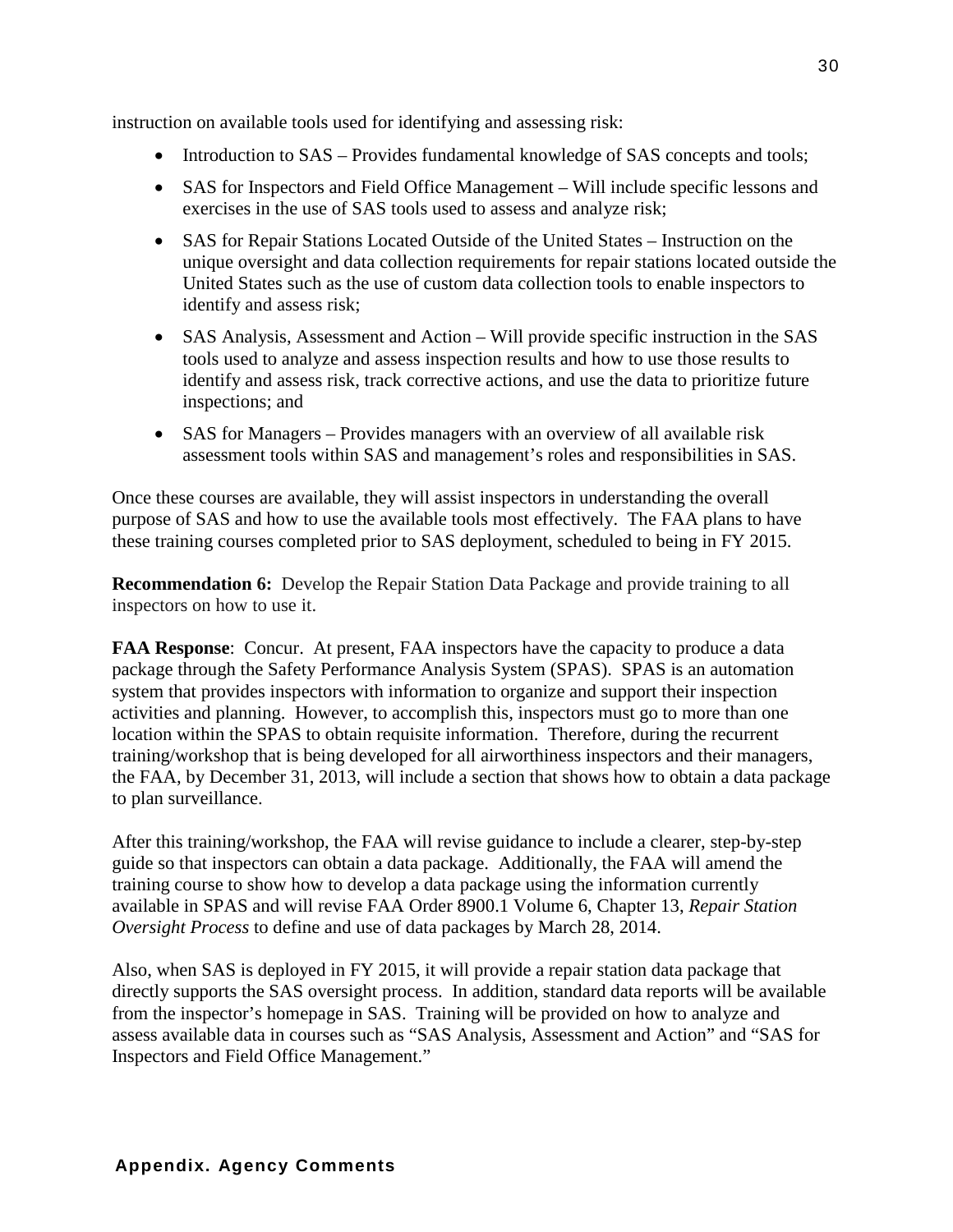instruction on available tools used for identifying and assessing risk:

- Introduction to SAS Provides fundamental knowledge of SAS concepts and tools;
- SAS for Inspectors and Field Office Management Will include specific lessons and exercises in the use of SAS tools used to assess and analyze risk;
- SAS for Repair Stations Located Outside of the United States Instruction on the unique oversight and data collection requirements for repair stations located outside the United States such as the use of custom data collection tools to enable inspectors to identify and assess risk;
- SAS Analysis, Assessment and Action Will provide specific instruction in the SAS tools used to analyze and assess inspection results and how to use those results to identify and assess risk, track corrective actions, and use the data to prioritize future inspections; and
- SAS for Managers Provides managers with an overview of all available risk assessment tools within SAS and management's roles and responsibilities in SAS.

Once these courses are available, they will assist inspectors in understanding the overall purpose of SAS and how to use the available tools most effectively. The FAA plans to have these training courses completed prior to SAS deployment, scheduled to being in FY 2015.

**Recommendation 6:** Develop the Repair Station Data Package and provide training to all inspectors on how to use it.

**FAA Response:** Concur. At present, FAA inspectors have the capacity to produce a data package through the Safety Performance Analysis System (SPAS). SPAS is an automation system that provides inspectors with information to organize and support their inspection activities and planning. However, to accomplish this, inspectors must go to more than one location within the SPAS to obtain requisite information. Therefore, during the recurrent training/workshop that is being developed for all airworthiness inspectors and their managers, the FAA, by December 31, 2013, will include a section that shows how to obtain a data package to plan surveillance.

After this training/workshop, the FAA will revise guidance to include a clearer, step-by-step guide so that inspectors can obtain a data package. Additionally, the FAA will amend the training course to show how to develop a data package using the information currently available in SPAS and will revise FAA Order 8900.1 Volume 6, Chapter 13, *Repair Station Oversight Process* to define and use of data packages by March 28, 2014.

Also, when SAS is deployed in FY 2015, it will provide a repair station data package that directly supports the SAS oversight process. In addition, standard data reports will be available from the inspector's homepage in SAS. Training will be provided on how to analyze and assess available data in courses such as "SAS Analysis, Assessment and Action" and "SAS for Inspectors and Field Office Management."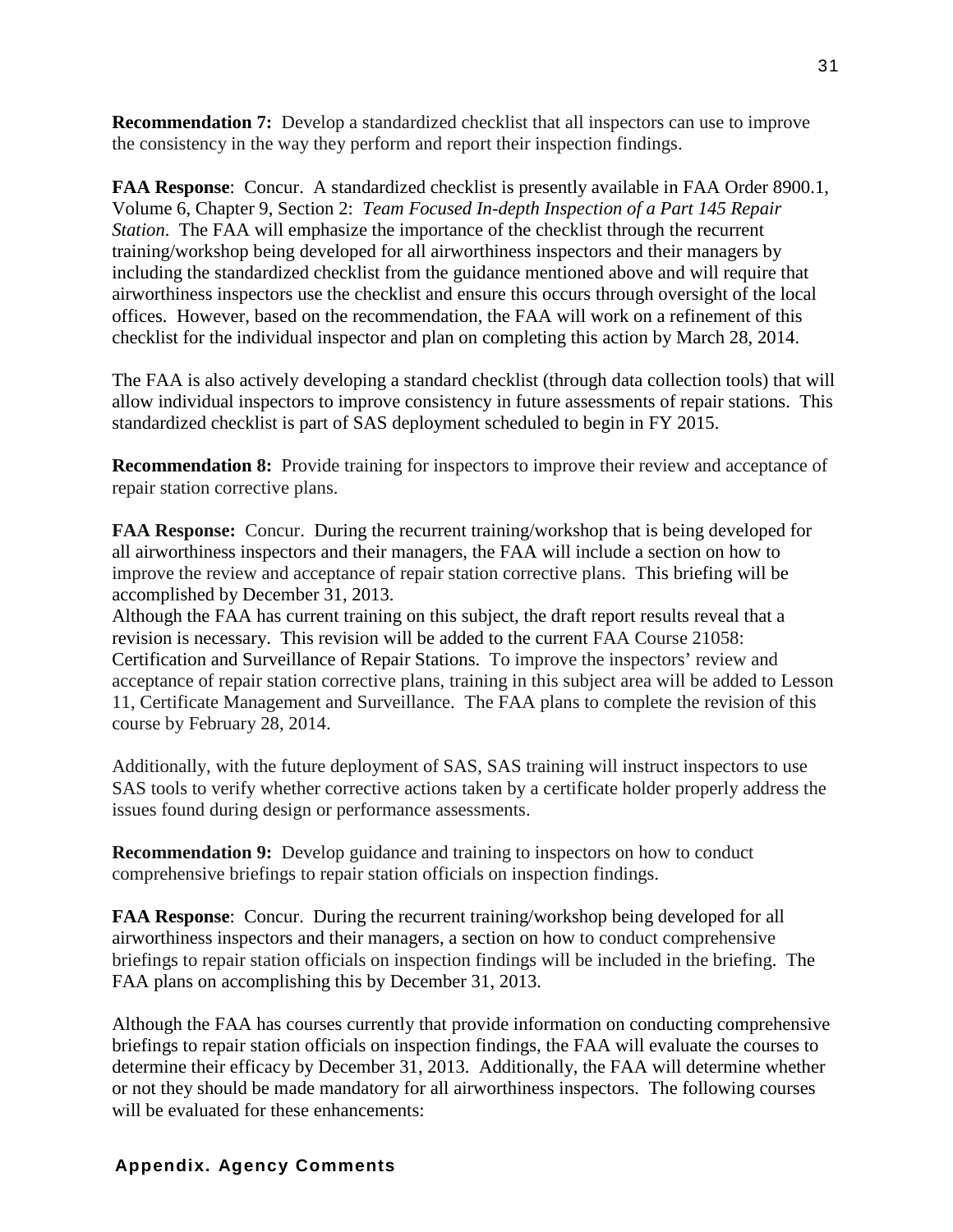**Recommendation 7:** Develop a standardized checklist that all inspectors can use to improve the consistency in the way they perform and report their inspection findings.

**FAA Response**: Concur. A standardized checklist is presently available in FAA Order 8900.1, Volume 6, Chapter 9, Section 2: *Team Focused In-depth Inspection of a Part 145 Repair Station*. The FAA will emphasize the importance of the checklist through the recurrent training/workshop being developed for all airworthiness inspectors and their managers by including the standardized checklist from the guidance mentioned above and will require that airworthiness inspectors use the checklist and ensure this occurs through oversight of the local offices. However, based on the recommendation, the FAA will work on a refinement of this checklist for the individual inspector and plan on completing this action by March 28, 2014.

The FAA is also actively developing a standard checklist (through data collection tools) that will allow individual inspectors to improve consistency in future assessments of repair stations. This standardized checklist is part of SAS deployment scheduled to begin in FY 2015.

**Recommendation 8:** Provide training for inspectors to improve their review and acceptance of repair station corrective plans.

**FAA Response:** Concur. During the recurrent training/workshop that is being developed for all airworthiness inspectors and their managers, the FAA will include a section on how to improve the review and acceptance of repair station corrective plans. This briefing will be accomplished by December 31, 2013.

Although the FAA has current training on this subject, the draft report results reveal that a revision is necessary. This revision will be added to the current FAA Course 21058: Certification and Surveillance of Repair Stations. To improve the inspectors' review and acceptance of repair station corrective plans, training in this subject area will be added to Lesson 11, Certificate Management and Surveillance. The FAA plans to complete the revision of this course by February 28, 2014.

Additionally, with the future deployment of SAS, SAS training will instruct inspectors to use SAS tools to verify whether corrective actions taken by a certificate holder properly address the issues found during design or performance assessments.

**Recommendation 9:** Develop guidance and training to inspectors on how to conduct comprehensive briefings to repair station officials on inspection findings.

**FAA Response**: Concur. During the recurrent training/workshop being developed for all airworthiness inspectors and their managers, a section on how to conduct comprehensive briefings to repair station officials on inspection findings will be included in the briefing. The FAA plans on accomplishing this by December 31, 2013.

Although the FAA has courses currently that provide information on conducting comprehensive briefings to repair station officials on inspection findings, the FAA will evaluate the courses to determine their efficacy by December 31, 2013. Additionally, the FAA will determine whether or not they should be made mandatory for all airworthiness inspectors. The following courses will be evaluated for these enhancements:

#### **Appendix. Agency Comments**